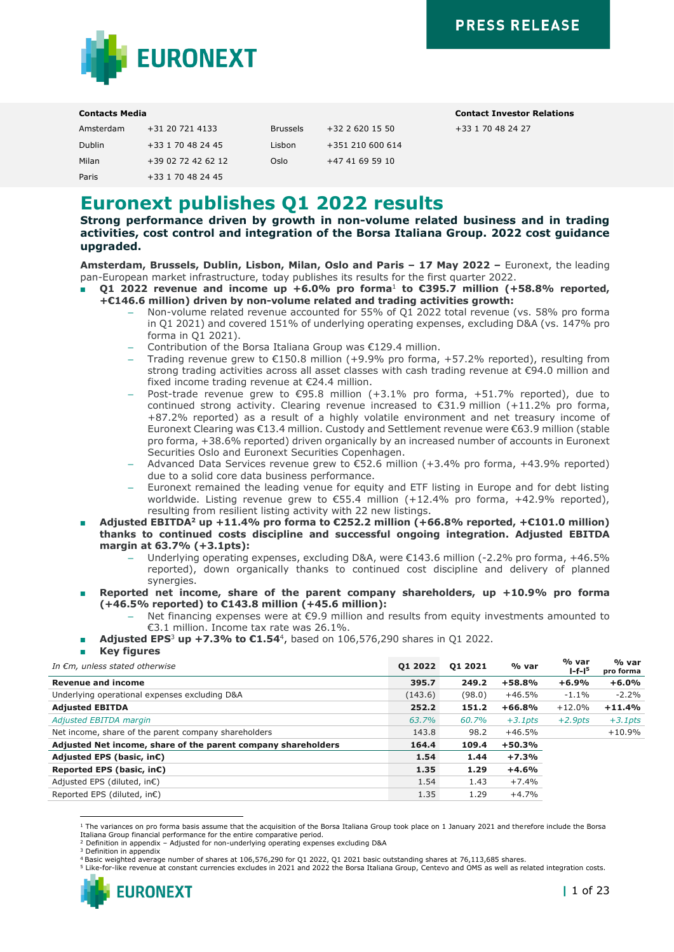+33 1 70 48 24 27



#### **Contacts Media Contact Investor Relations**

| Amsterdam     | +31 20 721 4133    | <b>Brussels</b> | $+32$ 2 620 15 50 |
|---------------|--------------------|-----------------|-------------------|
| <b>Dublin</b> | +33 1 70 48 24 45  | Lisbon          | +351 210 600 614  |
| Milan         | +39 02 72 42 62 12 | Oslo            | +47 41 69 59 10   |
| Paris         | +33 1 70 48 24 45  |                 |                   |

**Euronext publishes Q1 2022 results**

**Strong performance driven by growth in non-volume related business and in trading activities, cost control and integration of the Borsa Italiana Group. 2022 cost guidance upgraded.**

**Amsterdam, Brussels, Dublin, Lisbon, Milan, Oslo and Paris – 17 May 2022 –** Euronext, the leading pan-European market infrastructure, today publishes its results for the first quarter 2022.

- Q1 2022 revenue and income up +6.0% pro forma<sup>1</sup> to €395.7 million (+58.8% reported, **+€146.6 million) driven by non-volume related and trading activities growth:**
	- Non-volume related revenue accounted for 55% of Q1 2022 total revenue (vs. 58% pro forma in Q1 2021) and covered 151% of underlying operating expenses, excluding D&A (vs. 147% pro forma in Q1 2021).
	- Contribution of the Borsa Italiana Group was  $£129.4$  million.
	- Trading revenue grew to  $\epsilon$ 150.8 million (+9.9% pro forma, +57.2% reported), resulting from strong trading activities across all asset classes with cash trading revenue at €94.0 million and fixed income trading revenue at €24.4 million.
	- Post-trade revenue grew to €95.8 million (+3.1% pro forma, +51.7% reported), due to continued strong activity. Clearing revenue increased to  $\epsilon$ 31.9 million (+11.2% pro forma, +87.2% reported) as a result of a highly volatile environment and net treasury income of Euronext Clearing was €13.4 million. Custody and Settlement revenue were €63.9 million (stable pro forma, +38.6% reported) driven organically by an increased number of accounts in Euronext Securities Oslo and Euronext Securities Copenhagen.
	- Advanced Data Services revenue grew to €52.6 million (+3.4% pro forma, +43.9% reported) due to a solid core data business performance.
	- Euronext remained the leading venue for equity and ETF listing in Europe and for debt listing worldwide. Listing revenue grew to €55.4 million (+12.4% pro forma, +42.9% reported), resulting from resilient listing activity with 22 new listings.
- **Adjusted EBITDA<sup>2</sup> up +11.4% pro forma to €252.2 million (+66.8% reported, +€101.0 million) thanks to continued costs discipline and successful ongoing integration. Adjusted EBITDA margin at 63.7% (+3.1pts):**
	- Underlying operating expenses, excluding D&A, were €143.6 million (-2.2% pro forma, +46.5% reported), down organically thanks to continued cost discipline and delivery of planned synergies.
- **Reported net income, share of the parent company shareholders, up +10.9% pro forma (+46.5% reported) to €143.8 million (+45.6 million):**
	- Net financing expenses were at €9.9 million and results from equity investments amounted to €3.1 million. Income tax rate was 26.1%.
- **Adjusted EPS<sup>3</sup> up +7.3% to €1.54**<sup>4</sup>, based on 106,576,290 shares in Q1 2022.
- **Key figures**

*<sup>I</sup>n €m, unless stated otherwise* **Q1 2022 Q1 2021 % var % var l-f-l 5 % var pro forma Revenue and income 395.7 249.2 +58.8% +6.9% +6.0%** Underlying operational expenses excluding D&A  $-2.2\%$  (143.6) (98.0)  $+46.5\%$  -1.1% -2.2% **Adjusted EBITDA 252.2 151.2 +66.8%** +12.0% **+11.4%** *Adjusted EBITDA margin 63.7% 60.7% +3.1pts +2.9pts +3.1pts* Net income, share of the parent company shareholders 143.8 98.2 +46.5% +10.9% +10.9% **Adjusted Net income, share of the parent company shareholders 164.4 109.4 +50.3% Adjusted EPS (basic, in€) 1.54 1.44 +7.3% Reported EPS (basic, in€) 1.35 1.29 +4.6%**  $\Delta$ djusted EPS (diluted, in€) 1.54 1.43 +7.4% Reported EPS (diluted, in€)  $1.35$  1.29 +4.7%

<sup>5</sup> Like-for-like revenue at constant currencies excludes in 2021 and 2022 the Borsa Italiana Group, Centevo and OMS as well as related integration costs.



<sup>1</sup> The variances on pro forma basis assume that the acquisition of the Borsa Italiana Group took place on 1 January 2021 and therefore include the Borsa Italiana Group financial performance for the entire comparative period.

<sup>2</sup> Definition in appendix – Adjusted for non-underlying operating expenses excluding D&A

<sup>&</sup>lt;sup>3</sup> Definition in appendix

<sup>4</sup> Basic weighted average number of shares at 106,576,290 for Q1 2022, Q1 2021 basic outstanding shares at 76,113,685 shares.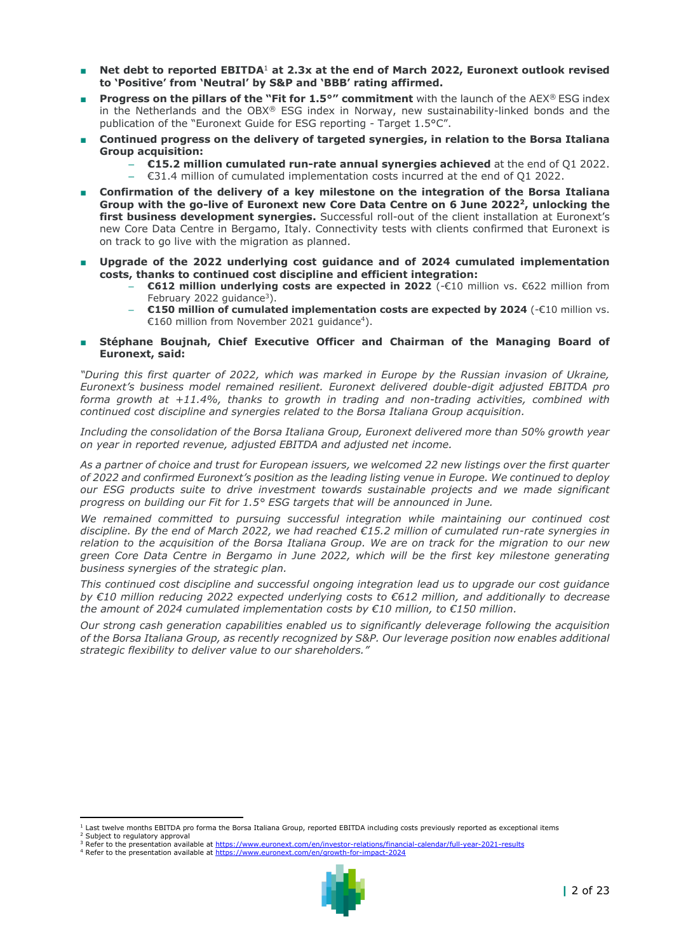- Net debt to reported EBITDA<sup>1</sup> at 2.3x at the end of March 2022, Euronext outlook revised **to 'Positive' from 'Neutral' by S&P and 'BBB' rating affirmed.**
- **Progress on the pillars of the "Fit for 1.5°" commitment** with the launch of the AEX® ESG index in the Netherlands and the OBX® ESG index in Norway, new sustainability-linked bonds and the publication of the "Euronext Guide for ESG reporting - Target 1.5°C".
- Continued progress on the delivery of targeted synergies, in relation to the Borsa Italiana **Group acquisition:**
	- **€15.2 million cumulated run-rate annual synergies achieved** at the end of Q1 2022.
	- €31.4 million of cumulated implementation costs incurred at the end of Q1 2022.
- Confirmation of the delivery of a key milestone on the integration of the Borsa Italiana **Group with the go-live of Euronext new Core Data Centre on 6 June 2022<sup>2</sup>, unlocking the first business development synergies.** Successful roll-out of the client installation at Euronext's new Core Data Centre in Bergamo, Italy. Connectivity tests with clients confirmed that Euronext is on track to go live with the migration as planned.
- **Upgrade of the 2022 underlying cost guidance and of 2024 cumulated implementation costs, thanks to continued cost discipline and efficient integration:**
	- **€612 million underlying costs are expected in 2022** (-€10 million vs. €622 million from February 2022 guidance<sup>3</sup>).
	- **€150 million of cumulated implementation costs are expected by 2024** (-€10 million vs. €160 million from November 2021 guidance<sup>4</sup>).
- Stéphane Boujnah, Chief Executive Officer and Chairman of the Managing Board of **Euronext, said:**

*"During this first quarter of 2022, which was marked in Europe by the Russian invasion of Ukraine, Euronext's business model remained resilient. Euronext delivered double-digit adjusted EBITDA pro forma growth at +11.4%, thanks to growth in trading and non-trading activities, combined with continued cost discipline and synergies related to the Borsa Italiana Group acquisition.*

*Including the consolidation of the Borsa Italiana Group, Euronext delivered more than 50% growth year on year in reported revenue, adjusted EBITDA and adjusted net income.*

*As a partner of choice and trust for European issuers, we welcomed 22 new listings over the first quarter of 2022 and confirmed Euronext's position as the leading listing venue in Europe. We continued to deploy our ESG products suite to drive investment towards sustainable projects and we made significant progress on building our Fit for 1.5° ESG targets that will be announced in June.*

*We remained committed to pursuing successful integration while maintaining our continued cost discipline. By the end of March 2022, we had reached €15.2 million of cumulated run-rate synergies in relation to the acquisition of the Borsa Italiana Group. We are on track for the migration to our new green Core Data Centre in Bergamo in June 2022, which will be the first key milestone generating business synergies of the strategic plan.* 

*This continued cost discipline and successful ongoing integration lead us to upgrade our cost guidance by €10 million reducing 2022 expected underlying costs to €612 million, and additionally to decrease the amount of 2024 cumulated implementation costs by €10 million, to €150 million.*

*Our strong cash generation capabilities enabled us to significantly deleverage following the acquisition of the Borsa Italiana Group, as recently recognized by S&P. Our leverage position now enables additional strategic flexibility to deliver value to our shareholders."*

<sup>3</sup> Refer to the presentation available a[t https://www.euronext.com/en/investor-relations/financial-calendar/full-year-2021-results](https://www.euronext.com/en/investor-relations/financial-calendar/full-year-2021-results)  <sup>4</sup> Refer to the presentation available a[t https://www.euronext.com/en/growth-for-impact-2024](https://www.euronext.com/en/growth-for-impact-2024)



 $1$  Last twelve months EBITDA pro forma the Borsa Italiana Group, reported EBITDA including costs previously reported as exceptional items <sup>2</sup> Subject to regulatory approval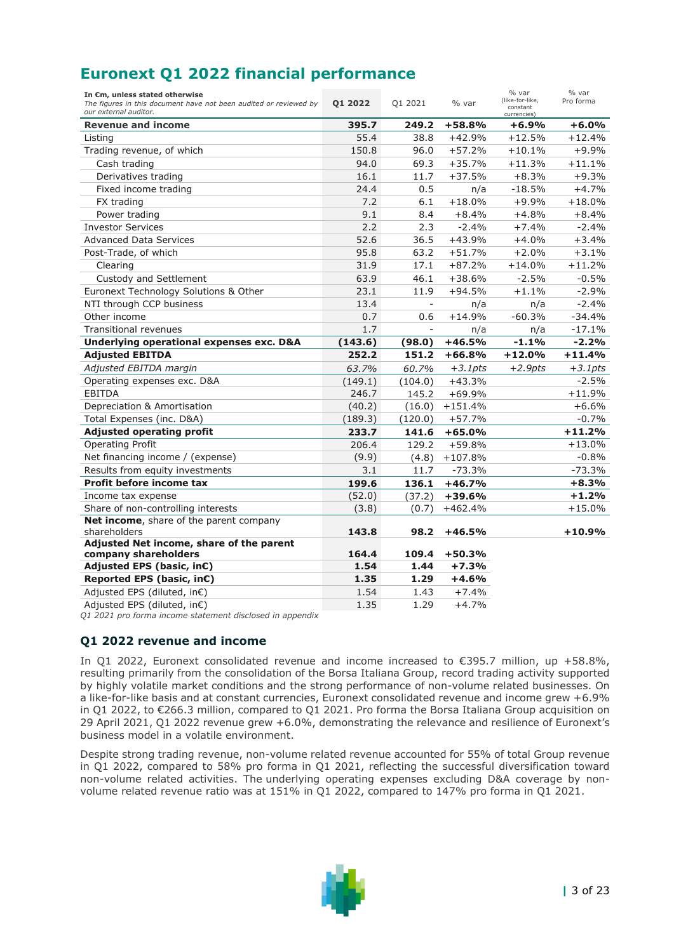|  |  |  |  | <b>Euronext Q1 2022 financial performance</b> |
|--|--|--|--|-----------------------------------------------|
|--|--|--|--|-----------------------------------------------|

| In €m, unless stated otherwise<br>The figures in this document have not been audited or reviewed by<br>our external auditor. | 01 2022      | Q1 2021                  | % var              | % var<br>(like-for-like,<br>constant<br>currencies) | % var<br>Pro forma |
|------------------------------------------------------------------------------------------------------------------------------|--------------|--------------------------|--------------------|-----------------------------------------------------|--------------------|
| <b>Revenue and income</b>                                                                                                    | 395.7        | 249.2                    | $+58.8%$           | +6.9%                                               | +6.0%              |
| Listing                                                                                                                      | 55.4         | 38.8                     | $+42.9%$           | $+12.5%$                                            | $+12.4%$           |
| Trading revenue, of which                                                                                                    | 150.8        | 96.0                     | $+57.2%$           | $+10.1%$                                            | +9.9%              |
| Cash trading                                                                                                                 | 94.0         | 69.3                     | $+35.7%$           | $+11.3%$                                            | $+11.1%$           |
| Derivatives trading                                                                                                          | 16.1         | 11.7                     | $+37.5%$           | $+8.3%$                                             | $+9.3%$            |
| Fixed income trading                                                                                                         | 24.4         | 0.5                      | n/a                | $-18.5%$                                            | +4.7%              |
| FX trading                                                                                                                   | 7.2          | 6.1                      | $+18.0%$           | $+9.9%$                                             | $+18.0%$           |
| Power trading                                                                                                                | 9.1          | 8.4                      | $+8.4%$            | $+4.8%$                                             | $+8.4%$            |
| <b>Investor Services</b>                                                                                                     | 2.2          | 2.3                      | $-2.4%$            | $+7.4%$                                             | $-2.4%$            |
| <b>Advanced Data Services</b>                                                                                                | 52.6         | 36.5                     | $+43.9%$           | $+4.0%$                                             | $+3.4%$            |
| Post-Trade, of which                                                                                                         | 95.8         | 63.2                     | $+51.7%$           | $+2.0%$                                             | $+3.1%$            |
| Clearing                                                                                                                     | 31.9         | 17.1                     | $+87.2%$           | $+14.0%$                                            | $+11.2%$           |
| Custody and Settlement                                                                                                       | 63.9         | 46.1                     | $+38.6%$           | $-2.5%$                                             | $-0.5%$            |
| Euronext Technology Solutions & Other                                                                                        | 23.1         | 11.9                     | $+94.5%$           | $+1.1%$                                             | $-2.9%$            |
| NTI through CCP business                                                                                                     | 13.4         |                          | n/a                | n/a                                                 | $-2.4%$            |
| Other income                                                                                                                 | 0.7          | 0.6                      | $+14.9%$           | $-60.3%$                                            | $-34.4%$           |
| <b>Transitional revenues</b>                                                                                                 | 1.7          | $\overline{\phantom{a}}$ | n/a                | n/a                                                 | $-17.1%$           |
| Underlying operational expenses exc. D&A                                                                                     | (143.6)      | (98.0)                   | $+46.5%$           | $-1.1%$                                             | $-2.2%$            |
| <b>Adjusted EBITDA</b>                                                                                                       | 252.2        | 151.2                    | $+66.8%$           | $+12.0%$                                            | $+11.4%$           |
| Adjusted EBITDA margin                                                                                                       | 63.7%        | 60.7%                    | $+3.1pts$          | $+2.9pts$                                           | $+3.1pts$          |
| Operating expenses exc. D&A                                                                                                  | (149.1)      | (104.0)                  | $+43.3%$           |                                                     | $-2.5%$            |
| <b>EBITDA</b>                                                                                                                | 246.7        | 145.2                    | $+69.9%$           |                                                     | $+11.9%$           |
| Depreciation & Amortisation                                                                                                  | (40.2)       | (16.0)                   | $+151.4%$          |                                                     | $+6.6%$            |
| Total Expenses (inc. D&A)                                                                                                    | (189.3)      | (120.0)                  | $+57.7%$           |                                                     | $-0.7%$            |
| <b>Adjusted operating profit</b>                                                                                             | 233.7        | 141.6                    | $+65.0%$           |                                                     | $+11.2%$           |
| Operating Profit                                                                                                             | 206.4        | 129.2                    | $+59.8%$           |                                                     | $+13.0%$           |
| Net financing income / (expense)                                                                                             | (9.9)        | (4.8)                    | $+107.8%$          |                                                     | $-0.8%$            |
| Results from equity investments                                                                                              | 3.1          | 11.7                     | $-73.3%$           |                                                     | $-73.3%$           |
| Profit before income tax                                                                                                     | 199.6        | 136.1                    | $+46.7%$           |                                                     | $+8.3%$            |
| Income tax expense                                                                                                           | (52.0)       | (37.2)                   | $+39.6%$           |                                                     | $+1.2%$            |
| Share of non-controlling interests                                                                                           | (3.8)        | (0.7)                    | $+462.4%$          |                                                     | $+15.0%$           |
| Net income, share of the parent company                                                                                      |              |                          |                    |                                                     |                    |
| shareholders                                                                                                                 |              |                          |                    |                                                     |                    |
|                                                                                                                              | 143.8        | 98.2                     | $+46.5%$           |                                                     | $+10.9%$           |
| Adjusted Net income, share of the parent                                                                                     |              |                          |                    |                                                     |                    |
| company shareholders                                                                                                         | 164.4        | 109.4                    | $+50.3%$           |                                                     |                    |
| Adjusted EPS (basic, in€)                                                                                                    | 1.54         | 1.44                     | $+7.3%$            |                                                     |                    |
| Reported EPS (basic, in€)                                                                                                    | 1.35         | 1.29                     | $+4.6%$            |                                                     |                    |
| Adjusted EPS (diluted, in€)<br>Adjusted EPS (diluted, in€)                                                                   | 1.54<br>1.35 | 1.43<br>1.29             | $+7.4%$<br>$+4.7%$ |                                                     |                    |

*Q1 2021 pro forma income statement disclosed in appendix*

## **Q1 2022 revenue and income**

In Q1 2022, Euronext consolidated revenue and income increased to €395.7 million, up +58.8%, resulting primarily from the consolidation of the Borsa Italiana Group, record trading activity supported by highly volatile market conditions and the strong performance of non-volume related businesses. On a like-for-like basis and at constant currencies, Euronext consolidated revenue and income grew +6.9% in Q1 2022, to €266.3 million, compared to Q1 2021. Pro forma the Borsa Italiana Group acquisition on 29 April 2021, Q1 2022 revenue grew +6.0%, demonstrating the relevance and resilience of Euronext's business model in a volatile environment.

Despite strong trading revenue, non-volume related revenue accounted for 55% of total Group revenue in Q1 2022, compared to 58% pro forma in Q1 2021, reflecting the successful diversification toward non-volume related activities. The underlying operating expenses excluding D&A coverage by nonvolume related revenue ratio was at 151% in Q1 2022, compared to 147% pro forma in Q1 2021.

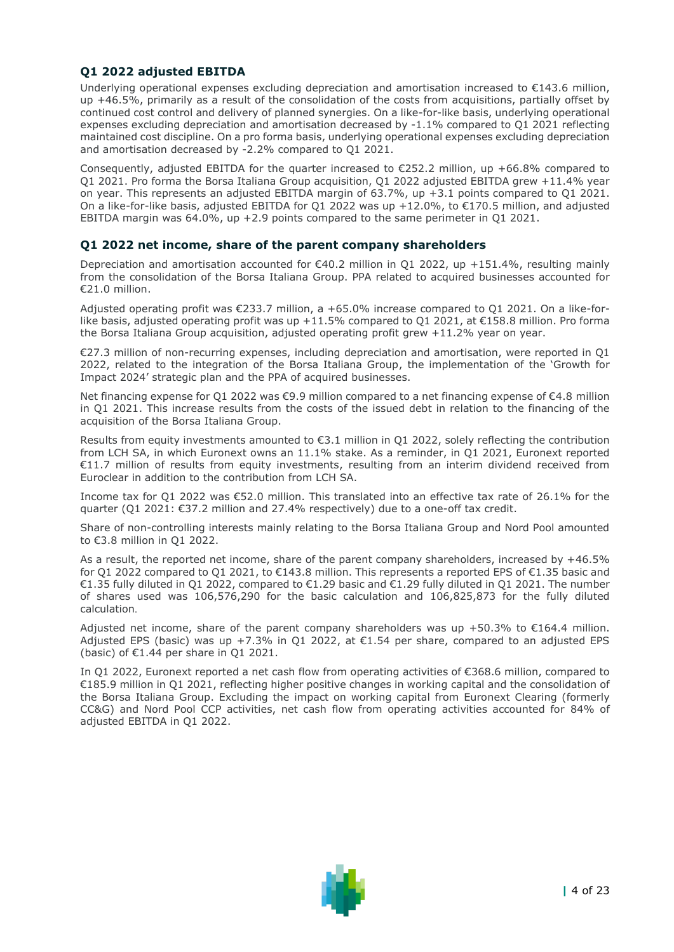## **Q1 2022 adjusted EBITDA**

Underlying operational expenses excluding depreciation and amortisation increased to €143.6 million, up +46.5%, primarily as a result of the consolidation of the costs from acquisitions, partially offset by continued cost control and delivery of planned synergies. On a like-for-like basis, underlying operational expenses excluding depreciation and amortisation decreased by -1.1% compared to Q1 2021 reflecting maintained cost discipline. On a pro forma basis, underlying operational expenses excluding depreciation and amortisation decreased by -2.2% compared to Q1 2021.

Consequently, adjusted EBITDA for the quarter increased to  $E$ 252.2 million, up +66.8% compared to Q1 2021. Pro forma the Borsa Italiana Group acquisition, Q1 2022 adjusted EBITDA grew +11.4% year on year. This represents an adjusted EBITDA margin of 63.7%, up +3.1 points compared to Q1 2021. On a like-for-like basis, adjusted EBITDA for Q1 2022 was up +12.0%, to €170.5 million, and adjusted EBITDA margin was 64.0%, up +2.9 points compared to the same perimeter in Q1 2021.

#### **Q1 2022 net income, share of the parent company shareholders**

Depreciation and amortisation accounted for €40.2 million in Q1 2022, up +151.4%, resulting mainly from the consolidation of the Borsa Italiana Group. PPA related to acquired businesses accounted for €21.0 million.

Adjusted operating profit was €233.7 million, a +65.0% increase compared to Q1 2021. On a like-forlike basis, adjusted operating profit was up +11.5% compared to Q1 2021, at €158.8 million. Pro forma the Borsa Italiana Group acquisition, adjusted operating profit grew +11.2% year on year.

€27.3 million of non-recurring expenses, including depreciation and amortisation, were reported in Q1 2022, related to the integration of the Borsa Italiana Group, the implementation of the 'Growth for Impact 2024' strategic plan and the PPA of acquired businesses.

Net financing expense for Q1 2022 was €9.9 million compared to a net financing expense of €4.8 million in Q1 2021. This increase results from the costs of the issued debt in relation to the financing of the acquisition of the Borsa Italiana Group.

Results from equity investments amounted to €3.1 million in Q1 2022, solely reflecting the contribution from LCH SA, in which Euronext owns an 11.1% stake. As a reminder, in Q1 2021, Euronext reported €11.7 million of results from equity investments, resulting from an interim dividend received from Euroclear in addition to the contribution from LCH SA.

Income tax for Q1 2022 was €52.0 million. This translated into an effective tax rate of 26.1% for the quarter (Q1 2021: €37.2 million and 27.4% respectively) due to a one-off tax credit.

Share of non-controlling interests mainly relating to the Borsa Italiana Group and Nord Pool amounted to €3.8 million in Q1 2022.

As a result, the reported net income, share of the parent company shareholders, increased by +46.5% for Q1 2022 compared to Q1 2021, to €143.8 million. This represents a reported EPS of €1.35 basic and €1.35 fully diluted in Q1 2022, compared to €1.29 basic and €1.29 fully diluted in Q1 2021. The number of shares used was 106,576,290 for the basic calculation and 106,825,873 for the fully diluted calculation.

Adjusted net income, share of the parent company shareholders was up  $+50.3\%$  to  $\epsilon$ 164.4 million. Adjusted EPS (basic) was up +7.3% in Q1 2022, at  $\epsilon$ 1.54 per share, compared to an adjusted EPS (basic) of  $E1.44$  per share in Q1 2021.

In Q1 2022, Euronext reported a net cash flow from operating activities of €368.6 million, compared to €185.9 million in Q1 2021, reflecting higher positive changes in working capital and the consolidation of the Borsa Italiana Group. Excluding the impact on working capital from Euronext Clearing (formerly CC&G) and Nord Pool CCP activities, net cash flow from operating activities accounted for 84% of adjusted EBITDA in Q1 2022.

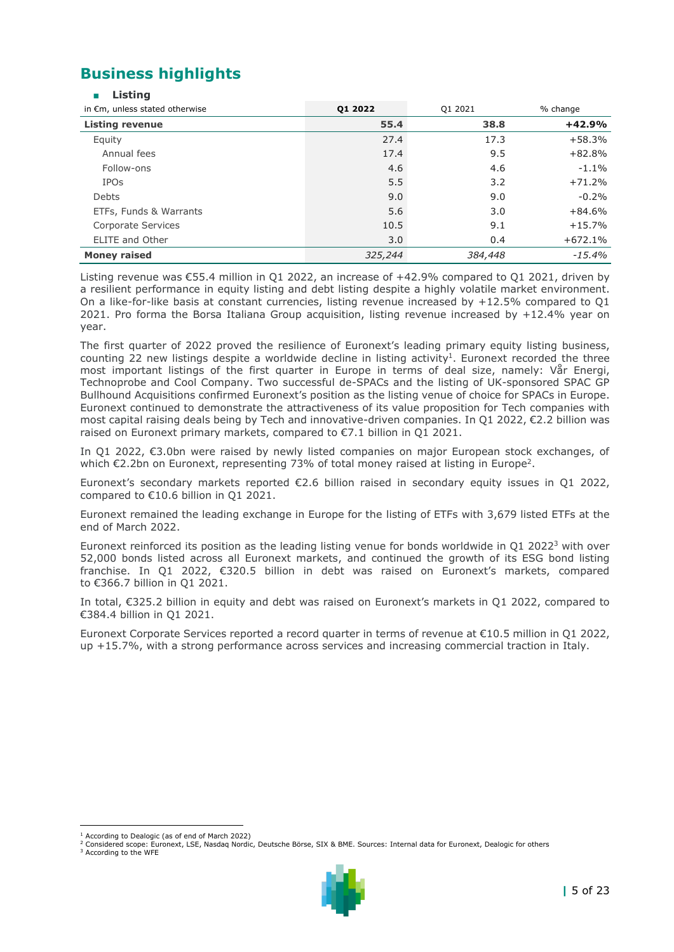# **Business highlights**

|  | stina |  |
|--|-------|--|

| in €m, unless stated otherwise | 01 2022 | Q1 2021 | % change  |
|--------------------------------|---------|---------|-----------|
| <b>Listing revenue</b>         | 55.4    | 38.8    | $+42.9%$  |
| Equity                         | 27.4    | 17.3    | $+58.3%$  |
| Annual fees                    | 17.4    | 9.5     | $+82.8%$  |
| Follow-ons                     | 4.6     | 4.6     | $-1.1%$   |
| <b>IPOs</b>                    | 5.5     | 3.2     | $+71.2%$  |
| Debts                          | 9.0     | 9.0     | $-0.2%$   |
| ETFs, Funds & Warrants         | 5.6     | 3.0     | $+84.6%$  |
| Corporate Services             | 10.5    | 9.1     | $+15.7%$  |
| <b>ELITE and Other</b>         | 3.0     | 0.4     | $+672.1%$ |
| <b>Money raised</b>            | 325,244 | 384,448 | $-15.4%$  |

Listing revenue was €55.4 million in Q1 2022, an increase of +42.9% compared to Q1 2021, driven by a resilient performance in equity listing and debt listing despite a highly volatile market environment. On a like-for-like basis at constant currencies, listing revenue increased by +12.5% compared to Q1 2021. Pro forma the Borsa Italiana Group acquisition, listing revenue increased by +12.4% year on year.

The first quarter of 2022 proved the resilience of Euronext's leading primary equity listing business, counting 22 new listings despite a worldwide decline in listing activity<sup>1</sup>. Euronext recorded the three most important listings of the first quarter in Europe in terms of deal size, namely: Vår Energi, Technoprobe and Cool Company. Two successful de-SPACs and the listing of UK-sponsored SPAC GP Bullhound Acquisitions confirmed Euronext's position as the listing venue of choice for SPACs in Europe. Euronext continued to demonstrate the attractiveness of its value proposition for Tech companies with most capital raising deals being by Tech and innovative-driven companies. In Q1 2022, €2.2 billion was raised on Euronext primary markets, compared to €7.1 billion in Q1 2021.

In Q1 2022, €3.0bn were raised by newly listed companies on major European stock exchanges, of which  $\epsilon$ 2.2bn on Euronext, representing 73% of total money raised at listing in Europe<sup>2</sup>.

Euronext's secondary markets reported €2.6 billion raised in secondary equity issues in Q1 2022, compared to €10.6 billion in Q1 2021.

Euronext remained the leading exchange in Europe for the listing of ETFs with 3,679 listed ETFs at the end of March 2022.

Euronext reinforced its position as the leading listing venue for bonds worldwide in Q1 2022<sup>3</sup> with over 52,000 bonds listed across all Euronext markets, and continued the growth of its ESG bond listing franchise. In Q1 2022, €320.5 billion in debt was raised on Euronext's markets, compared to €366.7 billion in Q1 2021.

In total, €325.2 billion in equity and debt was raised on Euronext's markets in Q1 2022, compared to €384.4 billion in Q1 2021.

Euronext Corporate Services reported a record quarter in terms of revenue at €10.5 million in Q1 2022, up +15.7%, with a strong performance across services and increasing commercial traction in Italy.



 $<sup>1</sup>$  According to Dealogic (as of end of March 2022)</sup>

<sup>2</sup> Considered scope: Euronext, LSE, Nasdaq Nordic, Deutsche Börse, SIX & BME. Sources: Internal data for Euronext, Dealogic for others

<sup>&</sup>lt;sup>3</sup> According to the WFE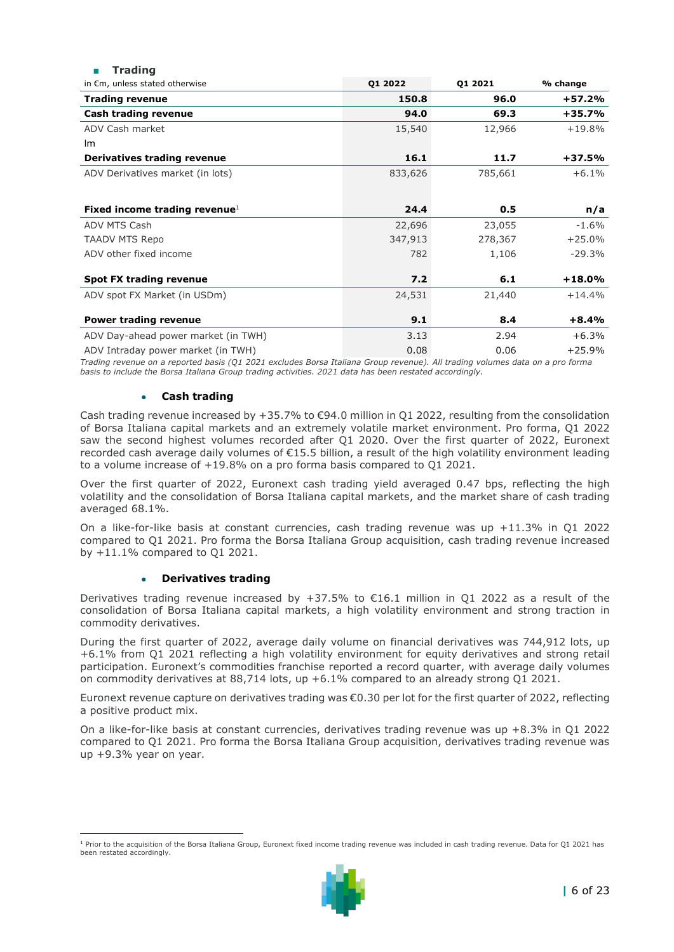| 11 aun 14                           |         |         |          |
|-------------------------------------|---------|---------|----------|
| in €m, unless stated otherwise      | 01 2022 | 01 2021 | % change |
| <b>Trading revenue</b>              | 150.8   | 96.0    | +57.2%   |
| Cash trading revenue                | 94.0    | 69.3    | $+35.7%$ |
| ADV Cash market                     | 15,540  | 12,966  | $+19.8%$ |
| lm.                                 |         |         |          |
| Derivatives trading revenue         | 16.1    | 11.7    | $+37.5%$ |
| ADV Derivatives market (in lots)    | 833,626 | 785,661 | $+6.1%$  |
|                                     |         |         |          |
| Fixed income trading revenue $1$    | 24.4    | 0.5     | n/a      |
| ADV MTS Cash                        | 22,696  | 23,055  | $-1.6%$  |
| <b>TAADV MTS Repo</b>               | 347,913 | 278,367 | $+25.0%$ |
| ADV other fixed income              | 782     | 1,106   | $-29.3%$ |
| <b>Spot FX trading revenue</b>      | 7.2     | 6.1     | $+18.0%$ |
| ADV spot FX Market (in USDm)        | 24,531  | 21,440  | $+14.4%$ |
| <b>Power trading revenue</b>        | 9.1     | 8.4     | $+8.4%$  |
| ADV Day-ahead power market (in TWH) | 3.13    | 2.94    | $+6.3%$  |
| ADV Intraday power market (in TWH)  | 0.08    | 0.06    | $+25.9%$ |

*Trading revenue on a reported basis (Q1 2021 excludes Borsa Italiana Group revenue). All trading volumes data on a pro forma basis to include the Borsa Italiana Group trading activities. 2021 data has been restated accordingly.*

#### • **Cash trading**

■ **Trading**

Cash trading revenue increased by  $+35.7\%$  to  $\epsilon$ 94.0 million in O1 2022, resulting from the consolidation of Borsa Italiana capital markets and an extremely volatile market environment. Pro forma, Q1 2022 saw the second highest volumes recorded after Q1 2020. Over the first quarter of 2022, Euronext recorded cash average daily volumes of €15.5 billion, a result of the high volatility environment leading to a volume increase of +19.8% on a pro forma basis compared to Q1 2021.

Over the first quarter of 2022, Euronext cash trading yield averaged 0.47 bps, reflecting the high volatility and the consolidation of Borsa Italiana capital markets, and the market share of cash trading averaged 68.1%.

On a like-for-like basis at constant currencies, cash trading revenue was up +11.3% in Q1 2022 compared to Q1 2021. Pro forma the Borsa Italiana Group acquisition, cash trading revenue increased by +11.1% compared to Q1 2021.

#### • **Derivatives trading**

Derivatives trading revenue increased by +37.5% to  $\epsilon$ 16.1 million in Q1 2022 as a result of the consolidation of Borsa Italiana capital markets, a high volatility environment and strong traction in commodity derivatives.

During the first quarter of 2022, average daily volume on financial derivatives was 744,912 lots, up +6.1% from Q1 2021 reflecting a high volatility environment for equity derivatives and strong retail participation. Euronext's commodities franchise reported a record quarter, with average daily volumes on commodity derivatives at 88,714 lots, up +6.1% compared to an already strong Q1 2021.

Euronext revenue capture on derivatives trading was €0.30 per lot for the first quarter of 2022, reflecting a positive product mix.

On a like-for-like basis at constant currencies, derivatives trading revenue was up +8.3% in Q1 2022 compared to Q1 2021. Pro forma the Borsa Italiana Group acquisition, derivatives trading revenue was up +9.3% year on year.

<sup>&</sup>lt;sup>1</sup> Prior to the acquisition of the Borsa Italiana Group, Euronext fixed income trading revenue was included in cash trading revenue. Data for Q1 2021 has been restated accordingly.

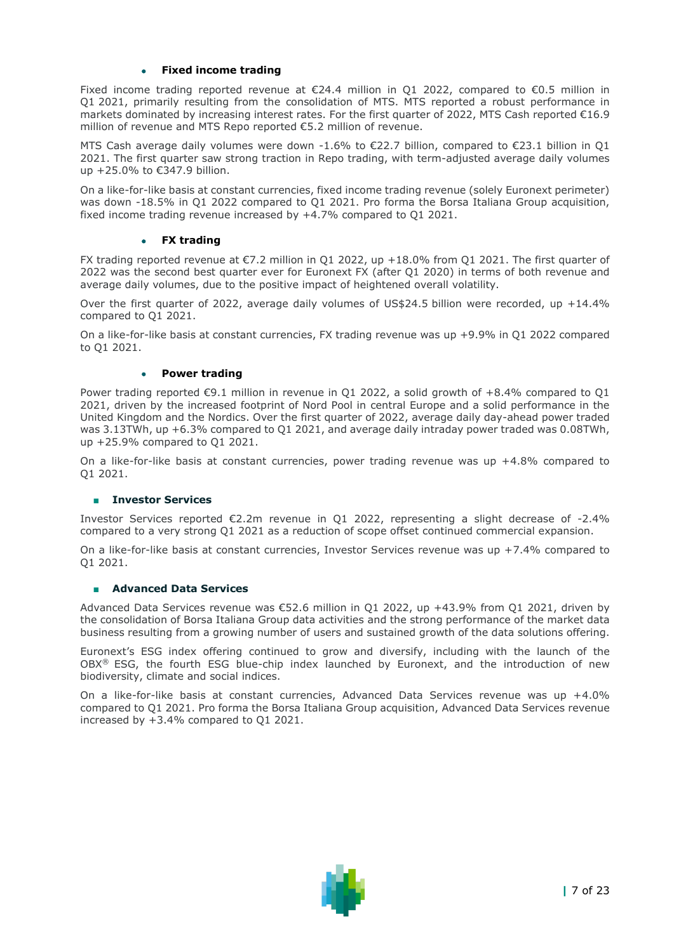#### • **Fixed income trading**

Fixed income trading reported revenue at  $\epsilon$ 24.4 million in O1 2022, compared to  $\epsilon$ 0.5 million in Q1 2021, primarily resulting from the consolidation of MTS. MTS reported a robust performance in markets dominated by increasing interest rates. For the first quarter of 2022, MTS Cash reported €16.9 million of revenue and MTS Repo reported €5.2 million of revenue.

MTS Cash average daily volumes were down -1.6% to €22.7 billion, compared to €23.1 billion in Q1 2021. The first quarter saw strong traction in Repo trading, with term-adjusted average daily volumes up +25.0% to €347.9 billion.

On a like-for-like basis at constant currencies, fixed income trading revenue (solely Euronext perimeter) was down -18.5% in Q1 2022 compared to Q1 2021. Pro forma the Borsa Italiana Group acquisition, fixed income trading revenue increased by +4.7% compared to Q1 2021.

#### • **FX trading**

FX trading reported revenue at €7.2 million in Q1 2022, up +18.0% from Q1 2021. The first quarter of 2022 was the second best quarter ever for Euronext FX (after Q1 2020) in terms of both revenue and average daily volumes, due to the positive impact of heightened overall volatility.

Over the first quarter of 2022, average daily volumes of US\$24.5 billion were recorded, up +14.4% compared to Q1 2021.

On a like-for-like basis at constant currencies, FX trading revenue was up +9.9% in Q1 2022 compared to Q1 2021.

#### • **Power trading**

Power trading reported €9.1 million in revenue in Q1 2022, a solid growth of +8.4% compared to Q1 2021, driven by the increased footprint of Nord Pool in central Europe and a solid performance in the United Kingdom and the Nordics. Over the first quarter of 2022, average daily day-ahead power traded was 3.13TWh, up +6.3% compared to Q1 2021, and average daily intraday power traded was 0.08TWh, up +25.9% compared to Q1 2021.

On a like-for-like basis at constant currencies, power trading revenue was up +4.8% compared to Q1 2021.

#### ■ **Investor Services**

Investor Services reported €2.2m revenue in Q1 2022, representing a slight decrease of -2.4% compared to a very strong Q1 2021 as a reduction of scope offset continued commercial expansion.

On a like-for-like basis at constant currencies, Investor Services revenue was up +7.4% compared to Q1 2021.

#### ■ **Advanced Data Services**

Advanced Data Services revenue was €52.6 million in Q1 2022, up +43.9% from Q1 2021, driven by the consolidation of Borsa Italiana Group data activities and the strong performance of the market data business resulting from a growing number of users and sustained growth of the data solutions offering.

Euronext's ESG index offering continued to grow and diversify, including with the launch of the OBX® ESG, the fourth ESG blue-chip index launched by Euronext, and the introduction of new biodiversity, climate and social indices.

On a like-for-like basis at constant currencies, Advanced Data Services revenue was up +4.0% compared to Q1 2021. Pro forma the Borsa Italiana Group acquisition, Advanced Data Services revenue increased by +3.4% compared to Q1 2021.

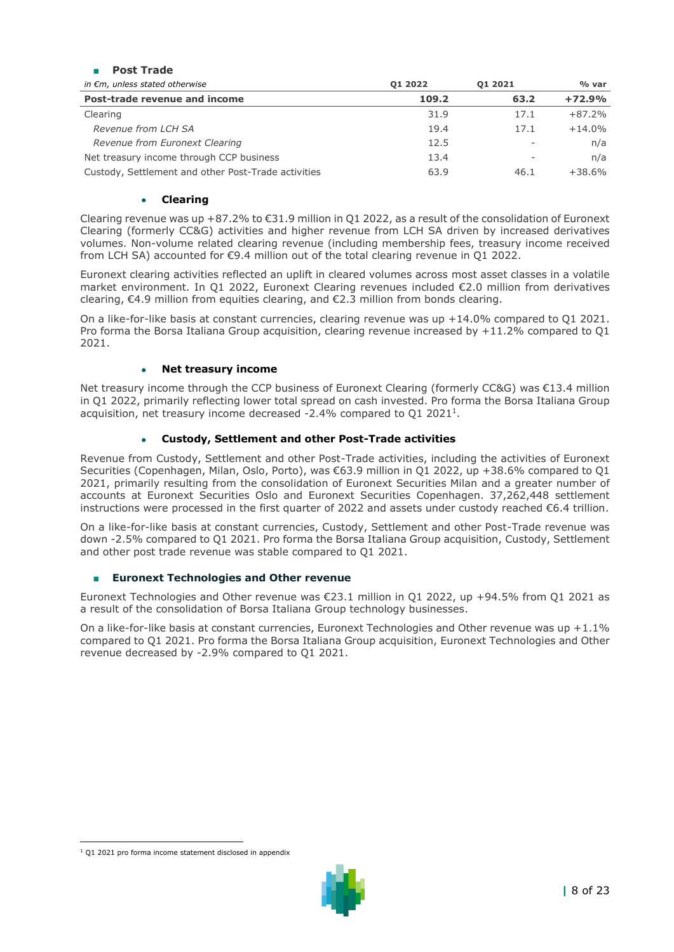| FUSL HAUC                                           |         |         |          |
|-----------------------------------------------------|---------|---------|----------|
| in $\epsilon$ m, unless stated otherwise            | 01 2022 | 01 2021 | % var    |
| Post-trade revenue and income                       | 109.2   | 63.2    | $+72.9%$ |
| Clearing                                            | 31.9    | 17.1    | $+87.2%$ |
| Revenue from LCH SA                                 | 19.4    | 17.1    | $+14.0%$ |
| Revenue from Euronext Clearing                      | 12.5    |         | n/a      |
| Net treasury income through CCP business            | 13.4    |         | n/a      |
| Custody, Settlement and other Post-Trade activities | 63.9    | 46.1    | $+38.6%$ |

#### • **Clearing**

■ **Post Trade**

Clearing revenue was up +87.2% to €31.9 million in Q1 2022, as a result of the consolidation of Euronext Clearing (formerly CC&G) activities and higher revenue from LCH SA driven by increased derivatives volumes. Non-volume related clearing revenue (including membership fees, treasury income received from LCH SA) accounted for €9.4 million out of the total clearing revenue in Q1 2022.

Euronext clearing activities reflected an uplift in cleared volumes across most asset classes in a volatile market environment. In Q1 2022, Euronext Clearing revenues included €2.0 million from derivatives clearing,  $\epsilon$ 4.9 million from equities clearing, and  $\epsilon$ 2.3 million from bonds clearing.

On a like-for-like basis at constant currencies, clearing revenue was up +14.0% compared to Q1 2021. Pro forma the Borsa Italiana Group acquisition, clearing revenue increased by +11.2% compared to Q1 2021.

#### • **Net treasury income**

Net treasury income through the CCP business of Euronext Clearing (formerly CC&G) was €13.4 million in Q1 2022, primarily reflecting lower total spread on cash invested. Pro forma the Borsa Italiana Group acquisition, net treasury income decreased -2.4% compared to  $Q1$  2021<sup>1</sup>.

### • **Custody, Settlement and other Post-Trade activities**

Revenue from Custody, Settlement and other Post-Trade activities, including the activities of Euronext Securities (Copenhagen, Milan, Oslo, Porto), was €63.9 million in Q1 2022, up +38.6% compared to Q1 2021, primarily resulting from the consolidation of Euronext Securities Milan and a greater number of accounts at Euronext Securities Oslo and Euronext Securities Copenhagen. 37,262,448 settlement instructions were processed in the first quarter of 2022 and assets under custody reached €6.4 trillion.

On a like-for-like basis at constant currencies, Custody, Settlement and other Post-Trade revenue was down -2.5% compared to Q1 2021. Pro forma the Borsa Italiana Group acquisition, Custody, Settlement and other post trade revenue was stable compared to Q1 2021.

#### ■ **Euronext Technologies and Other revenue**

Euronext Technologies and Other revenue was €23.1 million in Q1 2022, up +94.5% from Q1 2021 as a result of the consolidation of Borsa Italiana Group technology businesses.

On a like-for-like basis at constant currencies, Euronext Technologies and Other revenue was up  $+1.1\%$ compared to Q1 2021. Pro forma the Borsa Italiana Group acquisition, Euronext Technologies and Other revenue decreased by -2.9% compared to Q1 2021.

<sup>&</sup>lt;sup>1</sup> Q1 2021 pro forma income statement disclosed in appendix

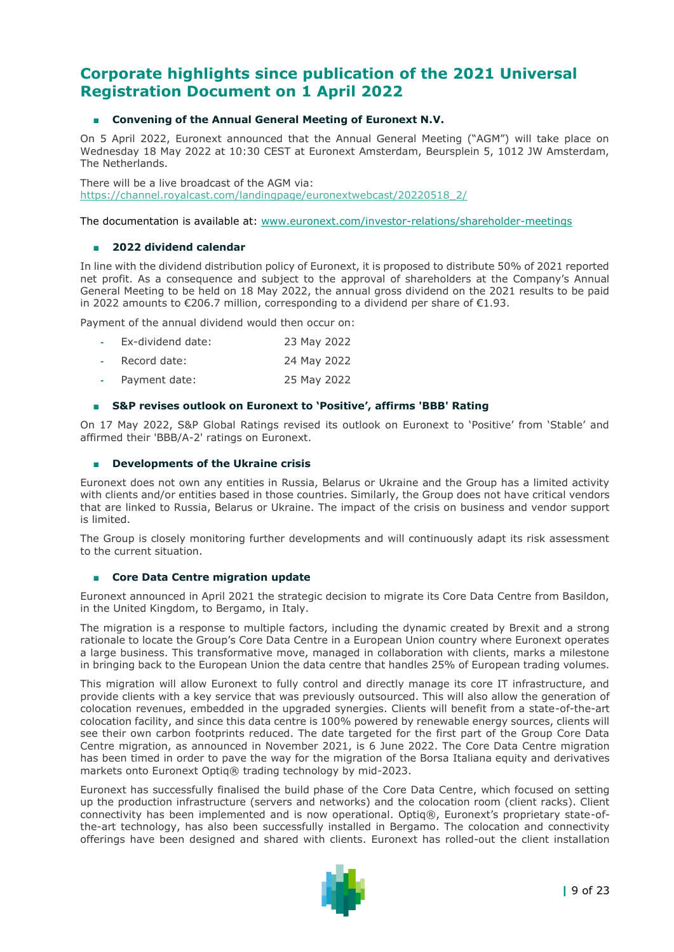# **Corporate highlights since publication of the 2021 Universal Registration Document on 1 April 2022**

#### ■ **Convening of the Annual General Meeting of Euronext N.V.**

On 5 April 2022, Euronext announced that the Annual General Meeting ("AGM") will take place on Wednesday 18 May 2022 at 10:30 CEST at Euronext Amsterdam, Beursplein 5, 1012 JW Amsterdam, The Netherlands.

There will be a live broadcast of the AGM via: [https://channel.royalcast.com/landingpage/euronextwebcast/20220518\\_2/](https://channel.royalcast.com/landingpage/euronextwebcast/20220518_2/)

The documentation is available at: [www.euronext.com/investor-relations/shareholder-meetings](https://www.euronext.com/en/investor-relations/shareholder-meetings)

#### ■ **2022 dividend calendar**

In line with the dividend distribution policy of Euronext, it is proposed to distribute 50% of 2021 reported net profit. As a consequence and subject to the approval of shareholders at the Company's Annual General Meeting to be held on 18 May 2022, the annual gross dividend on the 2021 results to be paid in 2022 amounts to €206.7 million, corresponding to a dividend per share of €1.93.

Payment of the annual dividend would then occur on:

| Ex-dividend date: |  | 23 May 2022 |
|-------------------|--|-------------|
|                   |  |             |

- **-** Record date: 24 May 2022
- **-** Payment date: 25 May 2022

#### ■ S&P revises outlook on Euronext to 'Positive', affirms 'BBB' Rating

On 17 May 2022, S&P Global Ratings revised its outlook on Euronext to 'Positive' from 'Stable' and affirmed their 'BBB/A-2' ratings on Euronext.

#### ■ **Developments of the Ukraine crisis**

Euronext does not own any entities in Russia, Belarus or Ukraine and the Group has a limited activity with clients and/or entities based in those countries. Similarly, the Group does not have critical vendors that are linked to Russia, Belarus or Ukraine. The impact of the crisis on business and vendor support is limited.

The Group is closely monitoring further developments and will continuously adapt its risk assessment to the current situation.

#### ■ **Core Data Centre migration update**

Euronext announced in April 2021 the strategic decision to migrate its Core Data Centre from Basildon, in the United Kingdom, to Bergamo, in Italy.

The migration is a response to multiple factors, including the dynamic created by Brexit and a strong rationale to locate the Group's Core Data Centre in a European Union country where Euronext operates a large business. This transformative move, managed in collaboration with clients, marks a milestone in bringing back to the European Union the data centre that handles 25% of European trading volumes.

This migration will allow Euronext to fully control and directly manage its core IT infrastructure, and provide clients with a key service that was previously outsourced. This will also allow the generation of colocation revenues, embedded in the upgraded synergies. Clients will benefit from a state-of-the-art colocation facility, and since this data centre is 100% powered by renewable energy sources, clients will see their own carbon footprints reduced. The date targeted for the first part of the Group Core Data Centre migration, as announced in November 2021, is 6 June 2022. The Core Data Centre migration has been timed in order to pave the way for the migration of the Borsa Italiana equity and derivatives markets onto Euronext Optiq® trading technology by mid-2023.

Euronext has successfully finalised the build phase of the Core Data Centre, which focused on setting up the production infrastructure (servers and networks) and the colocation room (client racks). Client connectivity has been implemented and is now operational. Optiq®, Euronext's proprietary state-ofthe-art technology, has also been successfully installed in Bergamo. The colocation and connectivity offerings have been designed and shared with clients. Euronext has rolled-out the client installation

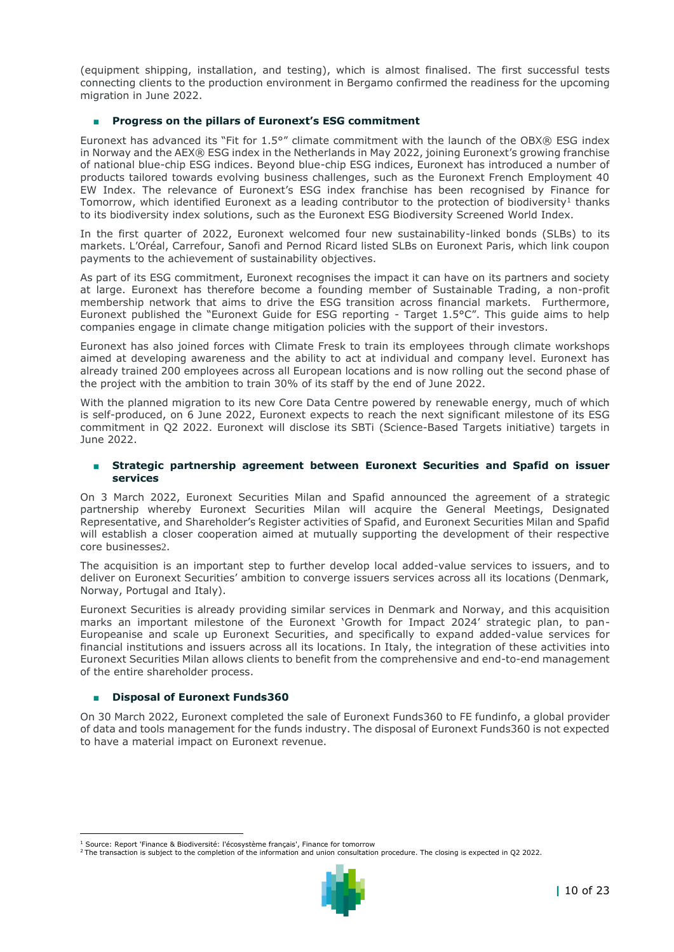(equipment shipping, installation, and testing), which is almost finalised. The first successful tests connecting clients to the production environment in Bergamo confirmed the readiness for the upcoming migration in June 2022.

#### ■ **Progress on the pillars of Euronext's ESG commitment**

Euronext has advanced its "Fit for 1.5°" climate commitment with the launch of the OBX® ESG index in Norway and the AEX® ESG index in the Netherlands in May 2022, joining Euronext's growing franchise of national blue-chip ESG indices. Beyond blue-chip ESG indices, Euronext has introduced a number of products tailored towards evolving business challenges, such as the Euronext French Employment 40 EW Index. The relevance of Euronext's ESG index franchise has been recognised by Finance for Tomorrow, which identified Euronext as a leading contributor to the protection of biodiversity<sup>1</sup> thanks to its biodiversity index solutions, such as the Euronext ESG Biodiversity Screened World Index.

In the first quarter of 2022, Euronext welcomed four new sustainability-linked bonds (SLBs) to its markets. L'Oréal, Carrefour, Sanofi and Pernod Ricard listed SLBs on Euronext Paris, which link coupon payments to the achievement of sustainability objectives.

As part of its ESG commitment, Euronext recognises the impact it can have on its partners and society at large. Euronext has therefore become a founding member of Sustainable Trading, a non-profit membership network that aims to drive the ESG transition across financial markets. Furthermore, Euronext published the "Euronext Guide for ESG reporting - Target 1.5°C". This guide aims to help companies engage in climate change mitigation policies with the support of their investors.

Euronext has also joined forces with Climate Fresk to train its employees through climate workshops aimed at developing awareness and the ability to act at individual and company level. Euronext has already trained 200 employees across all European locations and is now rolling out the second phase of the project with the ambition to train 30% of its staff by the end of June 2022.

With the planned migration to its new Core Data Centre powered by renewable energy, much of which is self-produced, on 6 June 2022, Euronext expects to reach the next significant milestone of its ESG commitment in Q2 2022. Euronext will disclose its SBTi (Science-Based Targets initiative) targets in June 2022.

#### Strategic partnership agreement between Euronext Securities and Spafid on issuer **services**

On 3 March 2022, Euronext Securities Milan and Spafid announced the agreement of a strategic partnership whereby Euronext Securities Milan will acquire the General Meetings, Designated Representative, and Shareholder's Register activities of Spafid, and Euronext Securities Milan and Spafid will establish a closer cooperation aimed at mutually supporting the development of their respective core businesses2.

The acquisition is an important step to further develop local added-value services to issuers, and to deliver on Euronext Securities' ambition to converge issuers services across all its locations (Denmark, Norway, Portugal and Italy).

Euronext Securities is already providing similar services in Denmark and Norway, and this acquisition marks an important milestone of the Euronext 'Growth for Impact 2024' strategic plan, to pan-Europeanise and scale up Euronext Securities, and specifically to expand added-value services for financial institutions and issuers across all its locations. In Italy, the integration of these activities into Euronext Securities Milan allows clients to benefit from the comprehensive and end-to-end management of the entire shareholder process.

#### **Disposal of Euronext Funds360**

On 30 March 2022, Euronext completed the sale of Euronext Funds360 to FE fundinfo, a global provider of data and tools management for the funds industry. The disposal of Euronext Funds360 is not expected to have a material impact on Euronext revenue.

<sup>&</sup>lt;sup>2</sup> The transaction is subject to the completion of the information and union consultation procedure. The closing is expected in Q2 2022.



<sup>&</sup>lt;sup>1</sup> Source: Report ['Finance & Biodiversité: l'écosystème français',](https://gbr01.safelinks.protection.outlook.com/?url=https%3A%2F%2Ffinancefortomorrow.com%2Factualites%2Ffinance-biodiversite-lecosysteme-francais%2F&data=05%7C01%7CPLefebvre%40Euronext.mail.onmicrosoft.com%7Ce0551e1fe9044843b9af08da26d8f4ff%7C315b1ee5c224498b871ec140611d6d07%7C0%7C0%7C637865010515559990%7CUnknown%7CTWFpbGZsb3d8eyJWIjoiMC4wLjAwMDAiLCJQIjoiV2luMzIiLCJBTiI6Ik1haWwiLCJXVCI6Mn0%3D%7C3000%7C%7C%7C&sdata=ZaB%2FUdaprsMtJ%2FlXBBjFw%2F4bGrX%2FNrqw%2BwQ8H2fYcLw%3D&reserved=0) Finance for tomorrow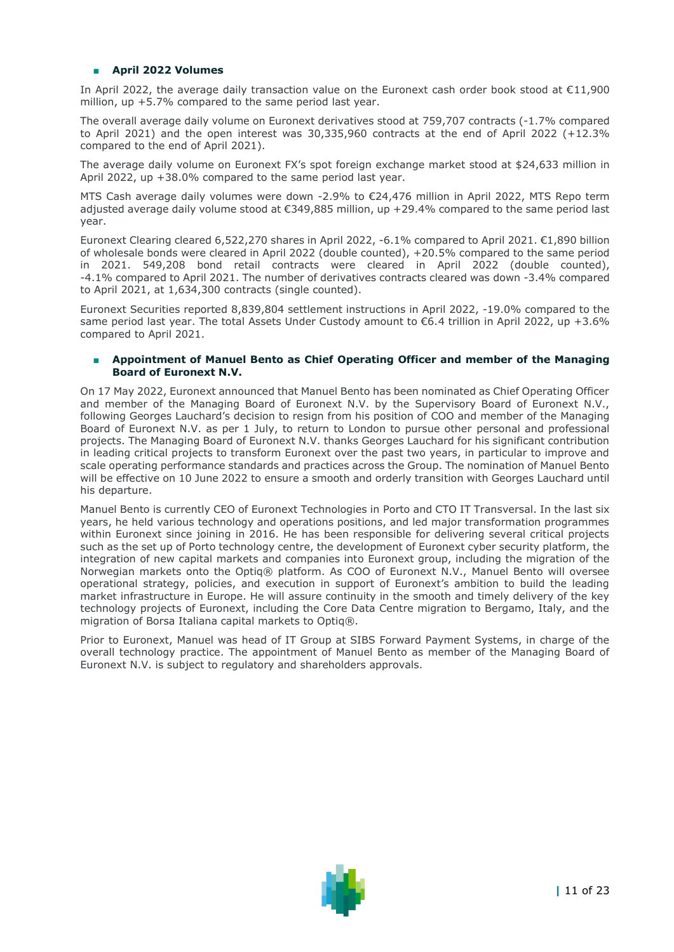#### ■ **April 2022 Volumes**

In April 2022, the average daily transaction value on the Euronext cash order book stood at €11,900 million, up +5.7% compared to the same period last year.

The overall average daily volume on Euronext derivatives stood at 759,707 contracts (-1.7% compared to April 2021) and the open interest was 30,335,960 contracts at the end of April 2022 (+12.3% compared to the end of April 2021).

The average daily volume on Euronext FX's spot foreign exchange market stood at \$24,633 million in April 2022, up +38.0% compared to the same period last year.

MTS Cash average daily volumes were down -2.9% to €24,476 million in April 2022, MTS Repo term adjusted average daily volume stood at €349,885 million, up +29.4% compared to the same period last year.

Euronext Clearing cleared 6,522,270 shares in April 2022, -6.1% compared to April 2021. €1,890 billion of wholesale bonds were cleared in April 2022 (double counted), +20.5% compared to the same period in 2021. 549,208 bond retail contracts were cleared in April 2022 (double counted), -4.1% compared to April 2021. The number of derivatives contracts cleared was down -3.4% compared to April 2021, at 1,634,300 contracts (single counted).

Euronext Securities reported 8,839,804 settlement instructions in April 2022, -19.0% compared to the same period last year. The total Assets Under Custody amount to €6.4 trillion in April 2022, up +3.6% compared to April 2021.

#### ■ **Appointment of Manuel Bento as Chief Operating Officer and member of the Managing Board of Euronext N.V.**

On 17 May 2022, Euronext announced that Manuel Bento has been nominated as Chief Operating Officer and member of the Managing Board of Euronext N.V. by the Supervisory Board of Euronext N.V., following Georges Lauchard's decision to resign from his position of COO and member of the Managing Board of Euronext N.V. as per 1 July, to return to London to pursue other personal and professional projects. The Managing Board of Euronext N.V. thanks Georges Lauchard for his significant contribution in leading critical projects to transform Euronext over the past two years, in particular to improve and scale operating performance standards and practices across the Group. The nomination of Manuel Bento will be effective on 10 June 2022 to ensure a smooth and orderly transition with Georges Lauchard until his departure.

Manuel Bento is currently CEO of Euronext Technologies in Porto and CTO IT Transversal. In the last six years, he held various technology and operations positions, and led major transformation programmes within Euronext since joining in 2016. He has been responsible for delivering several critical projects such as the set up of Porto technology centre, the development of Euronext cyber security platform, the integration of new capital markets and companies into Euronext group, including the migration of the Norwegian markets onto the Optiq® platform. As COO of Euronext N.V., Manuel Bento will oversee operational strategy, policies, and execution in support of Euronext's ambition to build the leading market infrastructure in Europe. He will assure continuity in the smooth and timely delivery of the key technology projects of Euronext, including the Core Data Centre migration to Bergamo, Italy, and the migration of Borsa Italiana capital markets to Optiq®.

Prior to Euronext, Manuel was head of IT Group at SIBS Forward Payment Systems, in charge of the overall technology practice. The appointment of Manuel Bento as member of the Managing Board of Euronext N.V. is subject to regulatory and shareholders approvals.

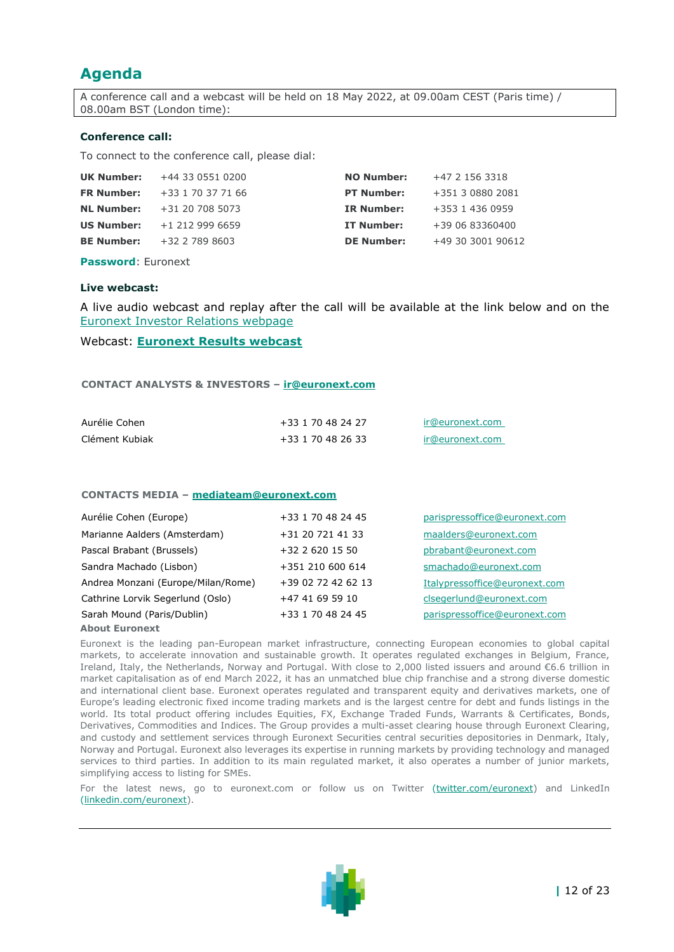# **Agenda**

A conference call and a webcast will be held on 18 May 2022, at 09.00am CEST (Paris time) / 08.00am BST (London time):

#### **Conference call:**

To connect to the conference call, please dial:

| <b>UK Number:</b> | +44 33 0551 0200  | <b>NO Number:</b> | +47 2 156 3318    |
|-------------------|-------------------|-------------------|-------------------|
| <b>FR Number:</b> | +33 1 70 37 71 66 | <b>PT Number:</b> | +351 3 0880 2081  |
| <b>NL Number:</b> | +31 20 708 5073   | <b>IR Number:</b> | +353 1 436 0959   |
| <b>US Number:</b> | $+1$ 212 999 6659 | IT Number:        | +39 06 83360400   |
| <b>BE Number:</b> | +32 2 789 8603    | <b>DE Number:</b> | +49 30 3001 90612 |
|                   |                   |                   |                   |

**Password**: Euronext

#### **Live webcast:**

A live audio webcast and replay after the call will be available at the link below and on the [Euronext Investor Relations webpage](https://www.euronext.com/en/investor-relations)

#### Webcast: **[Euronext Results webcast](https://channel.royalcast.com/landingpage/euronextwebcast/20220518_1/)**

#### **CONTACT ANALYSTS & INVESTORS – [ir@euronext.com](mailto:mediateam@euronext.com)**

| Aurélie Cohen  | +33 1 70 48 24 27 | ir@euronext.com |
|----------------|-------------------|-----------------|
| Clément Kubiak | +33 1 70 48 26 33 | ir@euronext.com |

#### **CONTACTS MEDIA – [mediateam@euronext.com](mailto:mediateam@euronext.com)**

| Aurélie Cohen (Europe)             | +33 1 70 48 24 45  | parispressoffice@euronext.com |
|------------------------------------|--------------------|-------------------------------|
| Marianne Aalders (Amsterdam)       | +31 20 721 41 33   | maalders@euronext.com         |
| Pascal Brabant (Brussels)          | +32 2 620 15 50    | pbrabant@euronext.com         |
| Sandra Machado (Lisbon)            | +351 210 600 614   | smachado@euronext.com         |
| Andrea Monzani (Europe/Milan/Rome) | +39 02 72 42 62 13 | Italypressoffice@euronext.com |
| Cathrine Lorvik Segerlund (Oslo)   | +47 41 69 59 10    | clsegerlund@euronext.com      |
| Sarah Mound (Paris/Dublin)         | +33 1 70 48 24 45  | parispressoffice@euronext.com |
| <b>About Furonext</b>              |                    |                               |

Euronext is the leading pan-European market infrastructure, connecting European economies to global capital markets, to accelerate innovation and sustainable growth. It operates regulated exchanges in Belgium, France, Ireland, Italy, the Netherlands, Norway and Portugal. With close to 2,000 listed issuers and around €6.6 trillion in market capitalisation as of end March 2022, it has an unmatched blue chip franchise and a strong diverse domestic and international client base. Euronext operates regulated and transparent equity and derivatives markets, one of Europe's leading electronic fixed income trading markets and is the largest centre for debt and funds listings in the world. Its total product offering includes Equities, FX, Exchange Traded Funds, Warrants & Certificates, Bonds, Derivatives, Commodities and Indices. The Group provides a multi-asset clearing house through Euronext Clearing, and custody and settlement services through Euronext Securities central securities depositories in Denmark, Italy, Norway and Portugal. Euronext also leverages its expertise in running markets by providing technology and managed services to third parties. In addition to its main regulated market, it also operates a number of junior markets, simplifying access to listing for SMEs.

For the latest news, go to euronext.com or follow us on Twitter [\(twitter.com/euronext\)](https://gbr01.safelinks.protection.outlook.com/?url=https%3A%2F%2Fwww.globenewswire.com%2FTracker%3Fdata%3D2qnjYPOKDmz31k74e0O1QxSfiOyqaaxibSFoeoM2KjQgEkJ35M6F36rkzdIRQmWk1vQ_ZF7E4aYYZ21_PN5vR8tZuHwhyFJiub9_5NLXwhA%3D&data=04%7C01%7CSMachado%40Euronext.mail.onmicrosoft.com%7C9f387e883b2245f14fe508d9aa7f490a%7C315b1ee5c224498b871ec140611d6d07%7C0%7C0%7C637728285924998796%7CUnknown%7CTWFpbGZsb3d8eyJWIjoiMC4wLjAwMDAiLCJQIjoiV2luMzIiLCJBTiI6Ik1haWwiLCJXVCI6Mn0%3D%7C3000&sdata=MhBq%2F3%2BcBBYqpM%2Ba3HBjPwX9mX70zfkV1BbqoBkFLDo%3D&reserved=0) and LinkedIn [\(linkedin.com/euronext](https://gbr01.safelinks.protection.outlook.com/?url=https%3A%2F%2Fwww.globenewswire.com%2FTracker%3Fdata%3Dvv3eybSepnBlAuRM492BX84waIM4Nv50I0tgR15gwR4zz6rZH3rBghJQ9GHMlgWYbe6v4RXZnVBLjfrxdTvVNdApDPxr2iCwptLTwE-vFneATp6EotRWUCwqySSyfcqq&data=04%7C01%7CSMachado%40Euronext.mail.onmicrosoft.com%7C9f387e883b2245f14fe508d9aa7f490a%7C315b1ee5c224498b871ec140611d6d07%7C0%7C0%7C637728285925008752%7CUnknown%7CTWFpbGZsb3d8eyJWIjoiMC4wLjAwMDAiLCJQIjoiV2luMzIiLCJBTiI6Ik1haWwiLCJXVCI6Mn0%3D%7C3000&sdata=XSgY6H8ABcimrAbA30mr5soEgF3lb6OyywrCvcD6tJw%3D&reserved=0)).

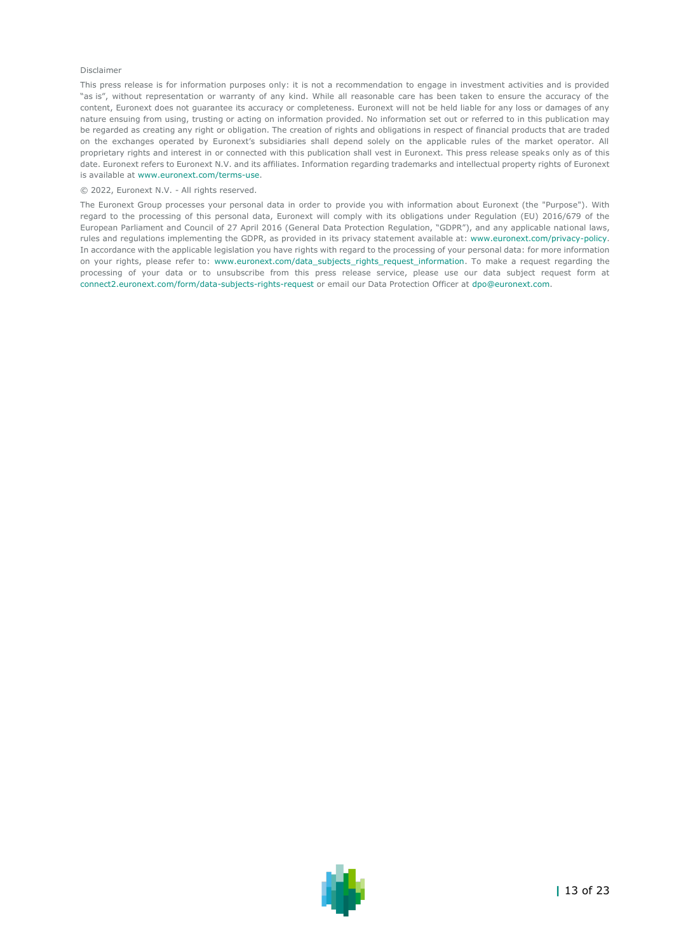#### Disclaimer

This press release is for information purposes only: it is not a recommendation to engage in investment activities and is provided "as is", without representation or warranty of any kind. While all reasonable care has been taken to ensure the accuracy of the content, Euronext does not guarantee its accuracy or completeness. Euronext will not be held liable for any loss or damages of any nature ensuing from using, trusting or acting on information provided. No information set out or referred to in this publication may be regarded as creating any right or obligation. The creation of rights and obligations in respect of financial products that are traded on the exchanges operated by Euronext's subsidiaries shall depend solely on the applicable rules of the market operator. All proprietary rights and interest in or connected with this publication shall vest in Euronext. This press release speaks only as of this date. Euronext refers to Euronext N.V. and its affiliates. Information regarding trademarks and intellectual property rights of Euronext is available at [www.euronext.com/terms-use.](https://www.euronext.com/terms-use)

#### © 2022, Euronext N.V. - All rights reserved.

The Euronext Group processes your personal data in order to provide you with information about Euronext (the "Purpose"). With regard to the processing of this personal data, Euronext will comply with its obligations under Regulation (EU) 2016/679 of the European Parliament and Council of 27 April 2016 (General Data Protection Regulation, "GDPR"), and any applicable national laws, rules and regulations implementing the GDPR, as provided in its privacy statement available at[: www.euronext.com/privacy-policy.](https://www.euronext.com/en/privacy-policy) In accordance with the applicable legislation you have rights with regard to the processing of your personal data: for more information on your rights, please refer to: [www.euronext.com/data\\_subjects\\_rights\\_request\\_information.](https://www.euronext.com/data_subjects_rights_request_information) To make a request regarding the processing of your data or to unsubscribe from this press release service, please use our data subject request form at [connect2.euronext.com/form/data-subjects-rights-request](https://connect2.euronext.com/form/data-subjects-rights-request) or email our Data Protection Officer at [dpo@euronext.com.](mailto:dpo@euronext.com)

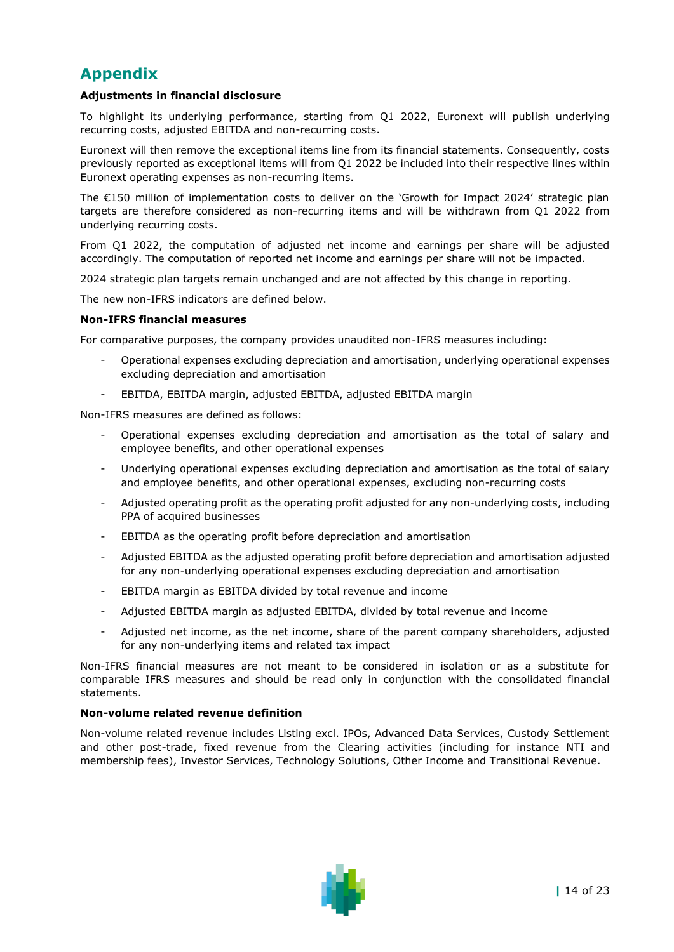# **Appendix**

### **Adjustments in financial disclosure**

To highlight its underlying performance, starting from Q1 2022, Euronext will publish underlying recurring costs, adjusted EBITDA and non-recurring costs.

Euronext will then remove the exceptional items line from its financial statements. Consequently, costs previously reported as exceptional items will from Q1 2022 be included into their respective lines within Euronext operating expenses as non-recurring items.

The €150 million of implementation costs to deliver on the 'Growth for Impact 2024' strategic plan targets are therefore considered as non-recurring items and will be withdrawn from Q1 2022 from underlying recurring costs.

From Q1 2022, the computation of adjusted net income and earnings per share will be adjusted accordingly. The computation of reported net income and earnings per share will not be impacted.

2024 strategic plan targets remain unchanged and are not affected by this change in reporting.

The new non-IFRS indicators are defined below.

#### **Non-IFRS financial measures**

For comparative purposes, the company provides unaudited non-IFRS measures including:

- Operational expenses excluding depreciation and amortisation, underlying operational expenses excluding depreciation and amortisation
- EBITDA, EBITDA margin, adjusted EBITDA, adjusted EBITDA margin

Non-IFRS measures are defined as follows:

- Operational expenses excluding depreciation and amortisation as the total of salary and employee benefits, and other operational expenses
- Underlying operational expenses excluding depreciation and amortisation as the total of salary and employee benefits, and other operational expenses, excluding non-recurring costs
- Adjusted operating profit as the operating profit adjusted for any non-underlying costs, including PPA of acquired businesses
- EBITDA as the operating profit before depreciation and amortisation
- Adjusted EBITDA as the adjusted operating profit before depreciation and amortisation adjusted for any non-underlying operational expenses excluding depreciation and amortisation
- EBITDA margin as EBITDA divided by total revenue and income
- Adjusted EBITDA margin as adjusted EBITDA, divided by total revenue and income
- Adjusted net income, as the net income, share of the parent company shareholders, adjusted for any non-underlying items and related tax impact

Non-IFRS financial measures are not meant to be considered in isolation or as a substitute for comparable IFRS measures and should be read only in conjunction with the consolidated financial statements.

#### **Non-volume related revenue definition**

Non-volume related revenue includes Listing excl. IPOs, Advanced Data Services, Custody Settlement and other post-trade, fixed revenue from the Clearing activities (including for instance NTI and membership fees), Investor Services, Technology Solutions, Other Income and Transitional Revenue.

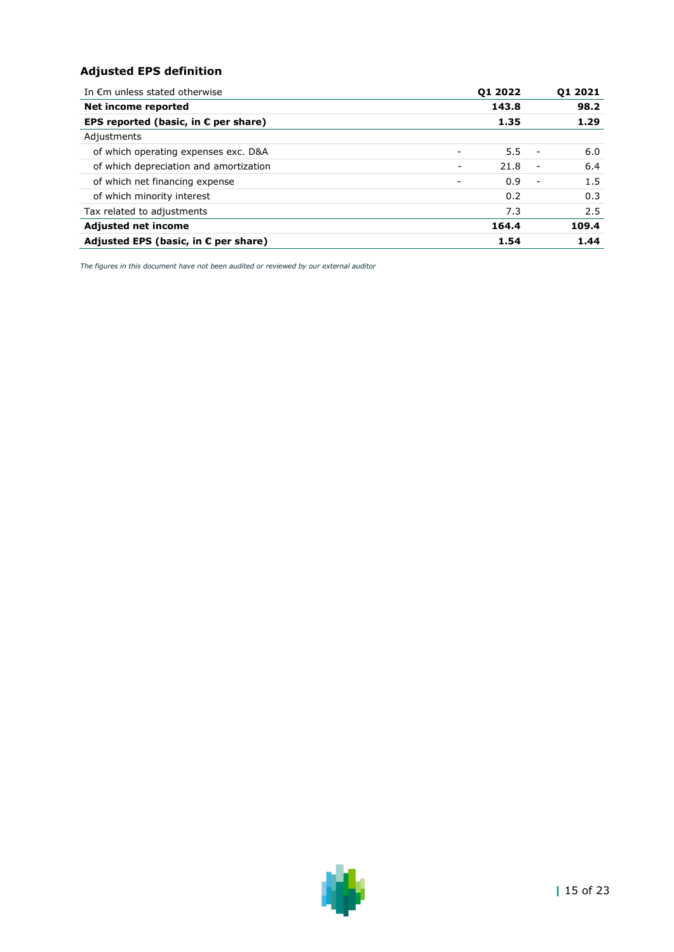## **Adjusted EPS definition**

| In $\epsilon$ m unless stated otherwise       |                          | 01 2022 | 01 2021                         |
|-----------------------------------------------|--------------------------|---------|---------------------------------|
| Net income reported                           |                          | 143.8   | 98.2                            |
| EPS reported (basic, in $\epsilon$ per share) |                          | 1.35    | 1.29                            |
| Adjustments                                   |                          |         |                                 |
| of which operating expenses exc. D&A          |                          | 5.5     | 6.0<br>$\overline{\phantom{a}}$ |
| of which depreciation and amortization        | $\overline{\phantom{a}}$ | 21.8    | 6.4<br>$\overline{\phantom{a}}$ |
| of which net financing expense                |                          | 0.9     | 1.5<br>$\overline{\phantom{a}}$ |
| of which minority interest                    |                          | 0.2     | 0.3                             |
| Tax related to adjustments                    |                          | 7.3     | 2.5                             |
| <b>Adjusted net income</b>                    |                          | 164.4   | 109.4                           |
| Adjusted EPS (basic, in $E$ per share)        |                          | 1.54    | 1.44                            |

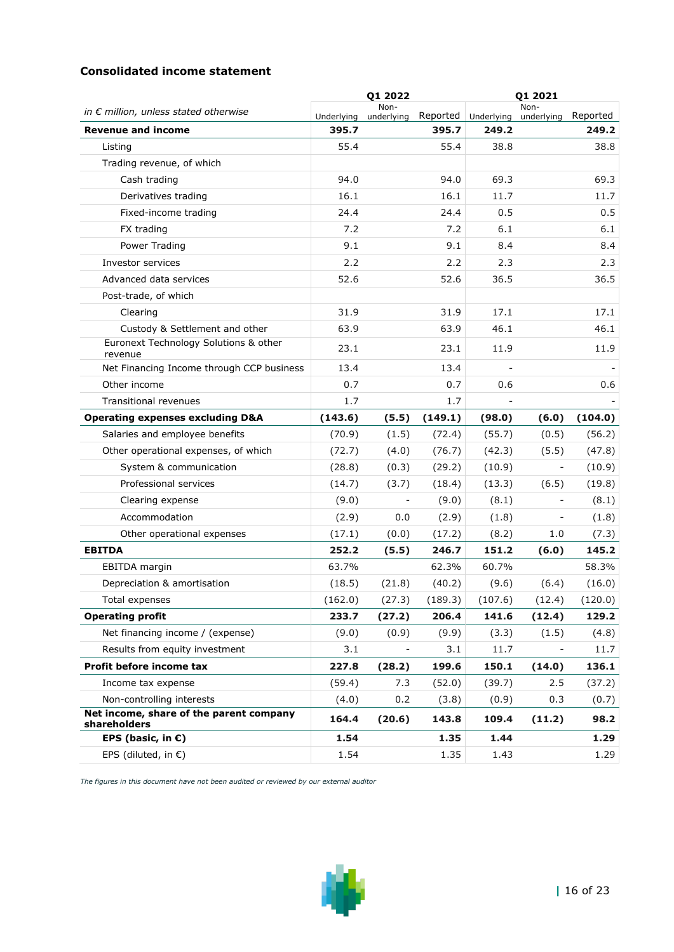## **Consolidated income statement**

|                                                         |            | Q1 2022                  |         |                     | Q1 2021                  |          |
|---------------------------------------------------------|------------|--------------------------|---------|---------------------|--------------------------|----------|
| in $\epsilon$ million, unless stated otherwise          | Underlying | Non-<br>underlying       |         | Reported Underlying | Non-<br>underlying       | Reported |
| <b>Revenue and income</b>                               | 395.7      |                          | 395.7   | 249.2               |                          | 249.2    |
| Listing                                                 | 55.4       |                          | 55.4    | 38.8                |                          | 38.8     |
| Trading revenue, of which                               |            |                          |         |                     |                          |          |
| Cash trading                                            | 94.0       |                          | 94.0    | 69.3                |                          | 69.3     |
| Derivatives trading                                     | 16.1       |                          | 16.1    | 11.7                |                          | 11.7     |
| Fixed-income trading                                    | 24.4       |                          | 24.4    | 0.5                 |                          | 0.5      |
| FX trading                                              | 7.2        |                          | 7.2     | 6.1                 |                          | 6.1      |
| Power Trading                                           | 9.1        |                          | 9.1     | 8.4                 |                          | 8.4      |
| Investor services                                       | 2.2        |                          | 2.2     | 2.3                 |                          | 2.3      |
| Advanced data services                                  | 52.6       |                          | 52.6    | 36.5                |                          | 36.5     |
| Post-trade, of which                                    |            |                          |         |                     |                          |          |
| Clearing                                                | 31.9       |                          | 31.9    | 17.1                |                          | 17.1     |
| Custody & Settlement and other                          | 63.9       |                          | 63.9    | 46.1                |                          | 46.1     |
| Euronext Technology Solutions & other<br>revenue        | 23.1       |                          | 23.1    | 11.9                |                          | 11.9     |
| Net Financing Income through CCP business               | 13.4       |                          | 13.4    |                     |                          |          |
| Other income                                            | 0.7        |                          | 0.7     | 0.6                 |                          | 0.6      |
| <b>Transitional revenues</b>                            | 1.7        |                          | 1.7     |                     |                          |          |
| <b>Operating expenses excluding D&amp;A</b>             | (143.6)    | (5.5)                    | (149.1) | (98.0)              | (6.0)                    | (104.0)  |
| Salaries and employee benefits                          | (70.9)     | (1.5)                    | (72.4)  | (55.7)              | (0.5)                    | (56.2)   |
| Other operational expenses, of which                    | (72.7)     | (4.0)                    | (76.7)  | (42.3)              | (5.5)                    | (47.8)   |
| System & communication                                  | (28.8)     | (0.3)                    | (29.2)  | (10.9)              | $\overline{\phantom{a}}$ | (10.9)   |
| Professional services                                   | (14.7)     | (3.7)                    | (18.4)  | (13.3)              | (6.5)                    | (19.8)   |
| Clearing expense                                        | (9.0)      | $\overline{\phantom{a}}$ | (9.0)   | (8.1)               | $\overline{\phantom{a}}$ | (8.1)    |
| Accommodation                                           | (2.9)      | 0.0                      | (2.9)   | (1.8)               |                          | (1.8)    |
| Other operational expenses                              | (17.1)     | (0.0)                    | (17.2)  | (8.2)               | 1.0                      | (7.3)    |
| <b>EBITDA</b>                                           | 252.2      | (5.5)                    | 246.7   | 151.2               | (6.0)                    | 145.2    |
| EBITDA margin                                           | 63.7%      |                          | 62.3%   | 60.7%               |                          | 58.3%    |
| Depreciation & amortisation                             | (18.5)     | (21.8)                   | (40.2)  | (9.6)               | (6.4)                    | (16.0)   |
| Total expenses                                          | (162.0)    | (27.3)                   | (189.3) | (107.6)             | (12.4)                   | (120.0)  |
| <b>Operating profit</b>                                 | 233.7      | (27.2)                   | 206.4   | 141.6               | (12.4)                   | 129.2    |
| Net financing income / (expense)                        | (9.0)      | (0.9)                    | (9.9)   | (3.3)               | (1.5)                    | (4.8)    |
| Results from equity investment                          | 3.1        |                          | 3.1     | 11.7                |                          | 11.7     |
| Profit before income tax                                | 227.8      | (28.2)                   | 199.6   | 150.1               | (14.0)                   | 136.1    |
| Income tax expense                                      | (59.4)     | 7.3                      | (52.0)  | (39.7)              | 2.5                      | (37.2)   |
| Non-controlling interests                               | (4.0)      | 0.2                      | (3.8)   | (0.9)               | 0.3                      | (0.7)    |
| Net income, share of the parent company<br>shareholders | 164.4      | (20.6)                   | 143.8   | 109.4               | (11.2)                   | 98.2     |
| EPS (basic, in $\varepsilon$ )                          | 1.54       |                          | 1.35    | 1.44                |                          | 1.29     |
| EPS (diluted, in $\epsilon$ )                           | 1.54       |                          | 1.35    | 1.43                |                          | 1.29     |

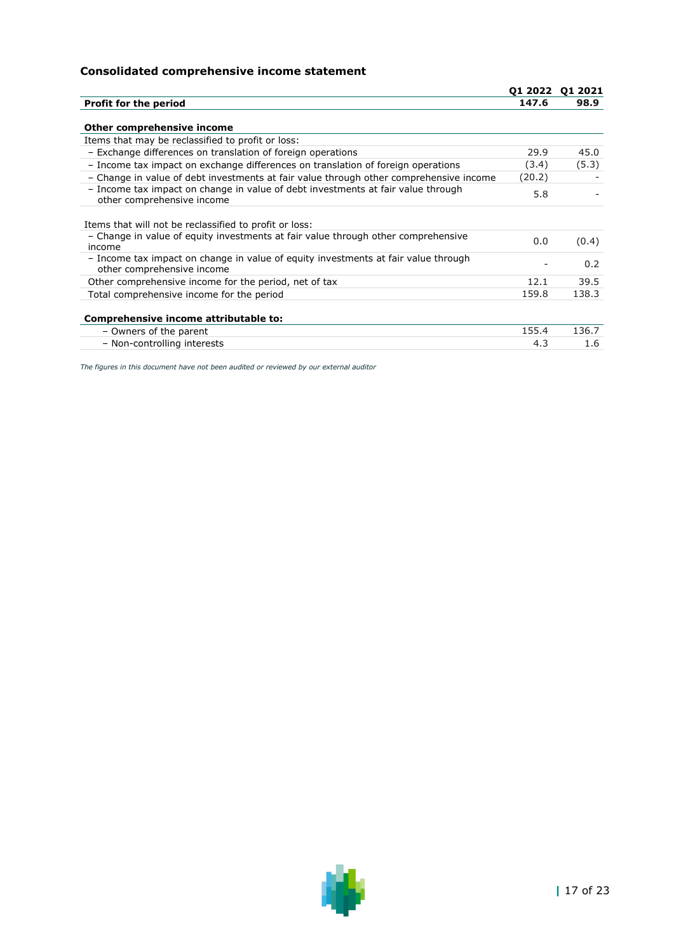## **Consolidated comprehensive income statement**

|                                                                                                                  |        | 01 2022 01 2021 |
|------------------------------------------------------------------------------------------------------------------|--------|-----------------|
| <b>Profit for the period</b>                                                                                     | 147.6  | 98.9            |
|                                                                                                                  |        |                 |
| Other comprehensive income                                                                                       |        |                 |
| Items that may be reclassified to profit or loss:                                                                |        |                 |
| - Exchange differences on translation of foreign operations                                                      | 29.9   | 45.0            |
| - Income tax impact on exchange differences on translation of foreign operations                                 | (3.4)  | (5.3)           |
| - Change in value of debt investments at fair value through other comprehensive income                           | (20.2) |                 |
| - Income tax impact on change in value of debt investments at fair value through<br>other comprehensive income   | 5.8    |                 |
| Items that will not be reclassified to profit or loss:                                                           |        |                 |
| - Change in value of equity investments at fair value through other comprehensive<br>income                      | 0.0    | (0.4)           |
| - Income tax impact on change in value of equity investments at fair value through<br>other comprehensive income |        | 0.2             |
| Other comprehensive income for the period, net of tax                                                            | 12.1   | 39.5            |
| Total comprehensive income for the period                                                                        | 159.8  | 138.3           |
| Comprehensive income attributable to:                                                                            |        |                 |
| - Owners of the parent                                                                                           | 155.4  | 136.7           |
| - Non-controlling interests                                                                                      | 4.3    | 1.6             |

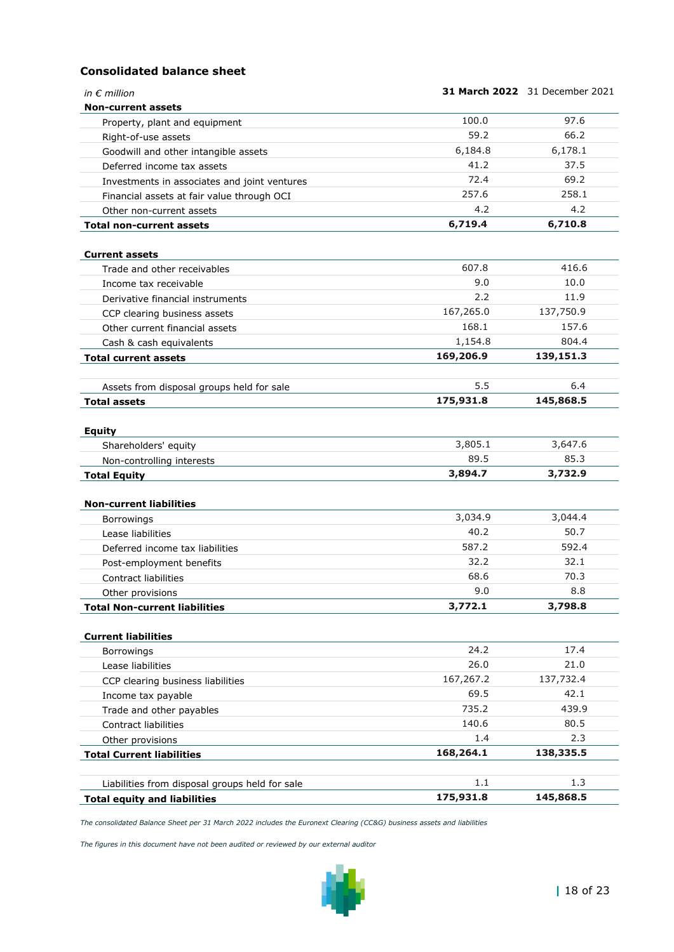## **Consolidated balance sheet**

| in $\epsilon$ million                          |           | <b>31 March 2022</b> 31 December 2021 |
|------------------------------------------------|-----------|---------------------------------------|
| <b>Non-current assets</b>                      |           |                                       |
| Property, plant and equipment                  | 100.0     | 97.6                                  |
| Right-of-use assets                            | 59.2      | 66.2                                  |
| Goodwill and other intangible assets           | 6,184.8   | 6,178.1                               |
| Deferred income tax assets                     | 41.2      | 37.5                                  |
| Investments in associates and joint ventures   | 72.4      | 69.2                                  |
| Financial assets at fair value through OCI     | 257.6     | 258.1                                 |
| Other non-current assets                       | 4.2       | 4.2                                   |
| <b>Total non-current assets</b>                | 6,719.4   | 6,710.8                               |
| <b>Current assets</b>                          |           |                                       |
| Trade and other receivables                    | 607.8     | 416.6                                 |
| Income tax receivable                          | 9.0       | 10.0                                  |
| Derivative financial instruments               | 2.2       | 11.9                                  |
| CCP clearing business assets                   | 167,265.0 | 137,750.9                             |
| Other current financial assets                 | 168.1     | 157.6                                 |
| Cash & cash equivalents                        | 1,154.8   | 804.4                                 |
| <b>Total current assets</b>                    | 169,206.9 | 139,151.3                             |
|                                                | 5.5       | 6.4                                   |
| Assets from disposal groups held for sale      | 175,931.8 | 145,868.5                             |
| <b>Total assets</b>                            |           |                                       |
| <b>Equity</b>                                  |           |                                       |
| Shareholders' equity                           | 3,805.1   | 3,647.6                               |
| Non-controlling interests                      | 89.5      | 85.3                                  |
| <b>Total Equity</b>                            | 3,894.7   | 3,732.9                               |
| <b>Non-current liabilities</b>                 |           |                                       |
| Borrowings                                     | 3,034.9   | 3,044.4                               |
| Lease liabilities                              | 40.2      | 50.7                                  |
| Deferred income tax liabilities                | 587.2     | 592.4                                 |
| Post-employment benefits                       | 32.2      | 32.1                                  |
| <b>Contract liabilities</b>                    | 68.6      | 70.3                                  |
| Other provisions                               | 9.0       | 8.8                                   |
| <b>Total Non-current liabilities</b>           | 3,772.1   | 3,798.8                               |
| <b>Current liabilities</b>                     |           |                                       |
| Borrowings                                     | 24.2      | 17.4                                  |
| Lease liabilities                              | 26.0      | 21.0                                  |
| CCP clearing business liabilities              | 167,267.2 | 137,732.4                             |
| Income tax payable                             | 69.5      | 42.1                                  |
| Trade and other payables                       | 735.2     | 439.9                                 |
| Contract liabilities                           | 140.6     | 80.5                                  |
| Other provisions                               | 1.4       | 2.3                                   |
| <b>Total Current liabilities</b>               | 168,264.1 | 138,335.5                             |
|                                                |           |                                       |
| Liabilities from disposal groups held for sale | 1.1       | 1.3                                   |
| <b>Total equity and liabilities</b>            | 175,931.8 | 145,868.5                             |

*The consolidated Balance Sheet per 31 March 2022 includes the Euronext Clearing (CC&G) business assets and liabilities*

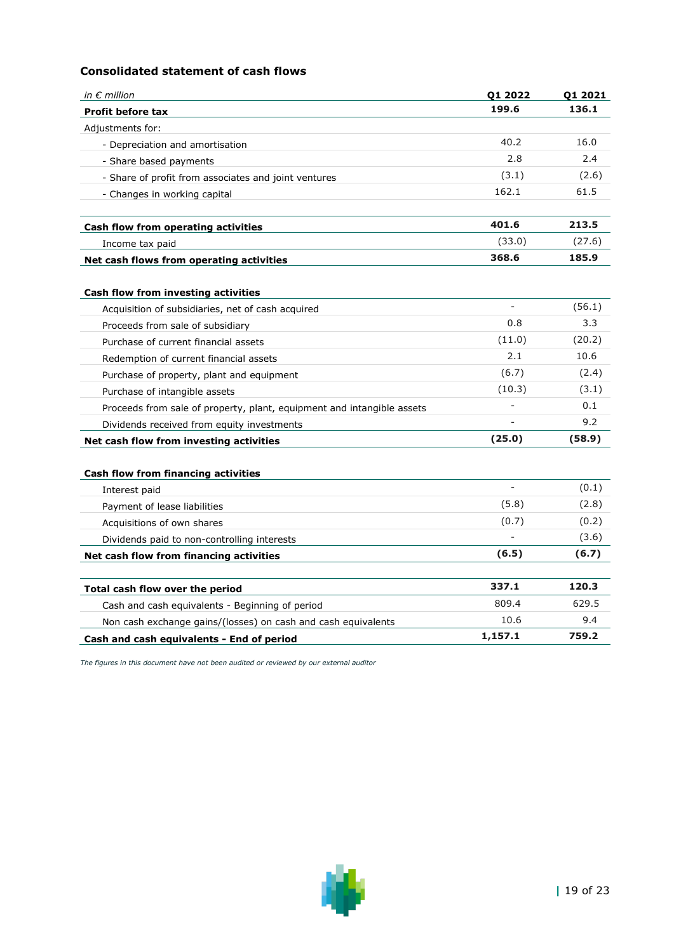## **Consolidated statement of cash flows**

| in $\epsilon$ million                                                                    | Q1 2022                  | Q1 2021 |
|------------------------------------------------------------------------------------------|--------------------------|---------|
| <b>Profit before tax</b>                                                                 | 199.6                    | 136.1   |
| Adjustments for:                                                                         |                          |         |
| - Depreciation and amortisation                                                          | 40.2                     | 16.0    |
| - Share based payments                                                                   | 2.8                      | 2.4     |
| - Share of profit from associates and joint ventures                                     | (3.1)                    | (2.6)   |
| - Changes in working capital                                                             | 162.1                    | 61.5    |
| Cash flow from operating activities                                                      | 401.6                    | 213.5   |
| Income tax paid                                                                          | (33.0)                   | (27.6)  |
| Net cash flows from operating activities                                                 | 368.6                    | 185.9   |
|                                                                                          |                          |         |
| Cash flow from investing activities<br>Acquisition of subsidiaries, net of cash acquired | $\overline{\phantom{a}}$ | (56.1)  |
| Proceeds from sale of subsidiary                                                         | 0.8                      | 3.3     |
| Purchase of current financial assets                                                     | (11.0)                   | (20.2)  |
| Redemption of current financial assets                                                   | 2.1                      | 10.6    |
| Purchase of property, plant and equipment                                                | (6.7)                    | (2.4)   |
| Purchase of intangible assets                                                            | (10.3)                   | (3.1)   |
| Proceeds from sale of property, plant, equipment and intangible assets                   |                          | 0.1     |
| Dividends received from equity investments                                               |                          | 9.2     |
| Net cash flow from investing activities                                                  | (25.0)                   | (58.9)  |
|                                                                                          |                          |         |
| Cash flow from financing activities                                                      |                          |         |
| Interest paid                                                                            | $\overline{a}$           | (0.1)   |
| Payment of lease liabilities                                                             | (5.8)                    | (2.8)   |
| Acquisitions of own shares                                                               | (0.7)                    | (0.2)   |
| Dividends paid to non-controlling interests                                              |                          | (3.6)   |
| Net cash flow from financing activities                                                  | (6.5)                    | (6.7)   |
| Total cash flow over the period                                                          | 337.1                    | 120.3   |
| Cash and cash equivalents - Beginning of period                                          | 809.4                    | 629.5   |
| Non cash exchange gains/(losses) on cash and cash equivalents                            | 10.6                     | 9.4     |
| Cash and cash equivalents - End of period                                                | 1,157.1                  | 759.2   |
|                                                                                          |                          |         |

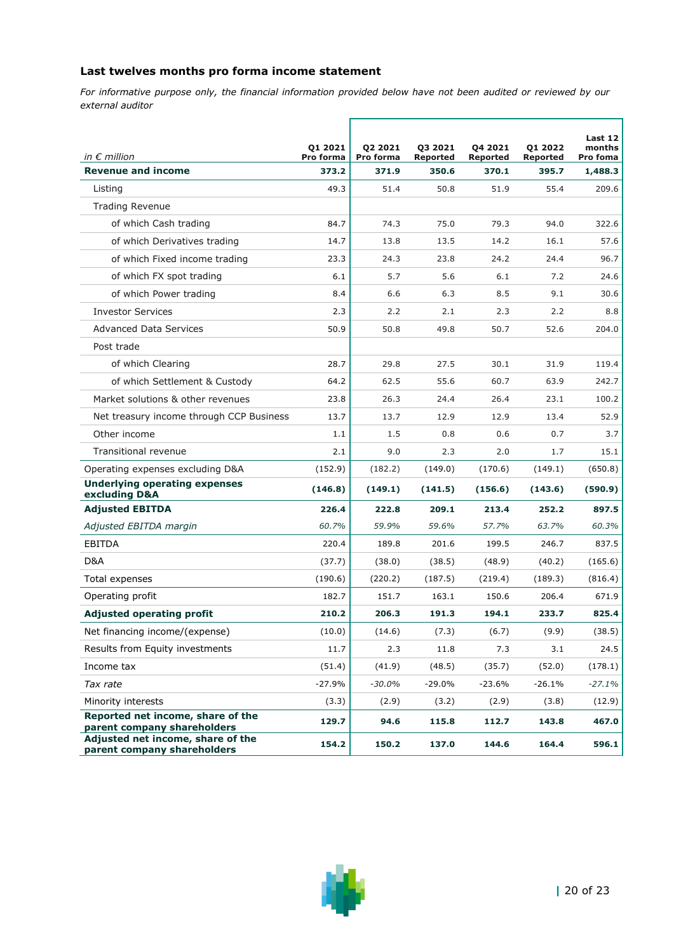## **Last twelves months pro forma income statement**

*For informative purpose only, the financial information provided below have not been audited or reviewed by our external auditor*

|                                                                  | 01 2021            | 02 2021            | 03 2021                  | 04 2021                  | 01 2022           | Last 12<br>months   |
|------------------------------------------------------------------|--------------------|--------------------|--------------------------|--------------------------|-------------------|---------------------|
| in $\epsilon$ million<br><b>Revenue and income</b>               | Pro forma<br>373.2 | Pro forma<br>371.9 | <b>Reported</b><br>350.6 | <b>Reported</b><br>370.1 | Reported<br>395.7 | Pro foma<br>1,488.3 |
| Listing                                                          | 49.3               | 51.4               | 50.8                     | 51.9                     | 55.4              | 209.6               |
| <b>Trading Revenue</b>                                           |                    |                    |                          |                          |                   |                     |
| of which Cash trading                                            | 84.7               | 74.3               | 75.0                     | 79.3                     | 94.0              | 322.6               |
| of which Derivatives trading                                     | 14.7               | 13.8               | 13.5                     | 14.2                     | 16.1              | 57.6                |
| of which Fixed income trading                                    | 23.3               | 24.3               | 23.8                     | 24.2                     | 24.4              | 96.7                |
| of which FX spot trading                                         | 6.1                | 5.7                | 5.6                      | 6.1                      | 7.2               | 24.6                |
| of which Power trading                                           | 8.4                | 6.6                | 6.3                      | 8.5                      | 9.1               | 30.6                |
| <b>Investor Services</b>                                         | 2.3                | 2.2                | 2.1                      | 2.3                      | 2.2               | 8.8                 |
| <b>Advanced Data Services</b>                                    | 50.9               | 50.8               | 49.8                     | 50.7                     | 52.6              | 204.0               |
| Post trade                                                       |                    |                    |                          |                          |                   |                     |
| of which Clearing                                                | 28.7               | 29.8               | 27.5                     | 30.1                     | 31.9              | 119.4               |
| of which Settlement & Custody                                    | 64.2               | 62.5               | 55.6                     | 60.7                     | 63.9              | 242.7               |
| Market solutions & other revenues                                | 23.8               | 26.3               | 24.4                     | 26.4                     | 23.1              | 100.2               |
| Net treasury income through CCP Business                         | 13.7               | 13.7               | 12.9                     | 12.9                     | 13.4              | 52.9                |
| Other income                                                     | 1.1                | 1.5                | 0.8                      | 0.6                      | 0.7               | 3.7                 |
| Transitional revenue                                             | 2.1                | 9.0                | 2.3                      | 2.0                      | 1.7               | 15.1                |
| Operating expenses excluding D&A                                 | (152.9)            | (182.2)            | (149.0)                  | (170.6)                  | (149.1)           | (650.8)             |
| <b>Underlying operating expenses</b><br>excluding D&A            | (146.8)            | (149.1)            | (141.5)                  | (156.6)                  | (143.6)           | (590.9)             |
| <b>Adjusted EBITDA</b>                                           | 226.4              | 222.8              | 209.1                    | 213.4                    | 252.2             | 897.5               |
| Adjusted EBITDA margin                                           | 60.7%              | 59.9%              | 59.6%                    | 57.7%                    | 63.7%             | 60.3%               |
| EBITDA                                                           | 220.4              | 189.8              | 201.6                    | 199.5                    | 246.7             | 837.5               |
| D&A                                                              | (37.7)             | (38.0)             | (38.5)                   | (48.9)                   | (40.2)            | (165.6)             |
| Total expenses                                                   | (190.6)            | (220.2)            | (187.5)                  | (219.4)                  | (189.3)           | (816.4)             |
| Operating profit                                                 | 182.7              | 151.7              | 163.1                    | 150.6                    | 206.4             | 671.9               |
| <b>Adjusted operating profit</b>                                 | 210.2              | 206.3              | 191.3                    | 194.1                    | 233.7             | 825.4               |
| Net financing income/(expense)                                   | (10.0)             | (14.6)             | (7.3)                    | (6.7)                    | (9.9)             | (38.5)              |
| Results from Equity investments                                  | 11.7               | 2.3                | 11.8                     | 7.3                      | 3.1               | 24.5                |
| Income tax                                                       | (51.4)             | (41.9)             | (48.5)                   | (35.7)                   | (52.0)            | (178.1)             |
| Tax rate                                                         | -27.9%             | -30.0%             | $-29.0%$                 | $-23.6%$                 | $-26.1%$          | $-27.1%$            |
| Minority interests                                               | (3.3)              | (2.9)              | (3.2)                    | (2.9)                    | (3.8)             | (12.9)              |
| Reported net income, share of the<br>parent company shareholders | 129.7              | 94.6               | 115.8                    | 112.7                    | 143.8             | 467.0               |
| Adjusted net income, share of the<br>parent company shareholders | 154.2              | 150.2              | 137.0                    | 144.6                    | 164.4             | 596.1               |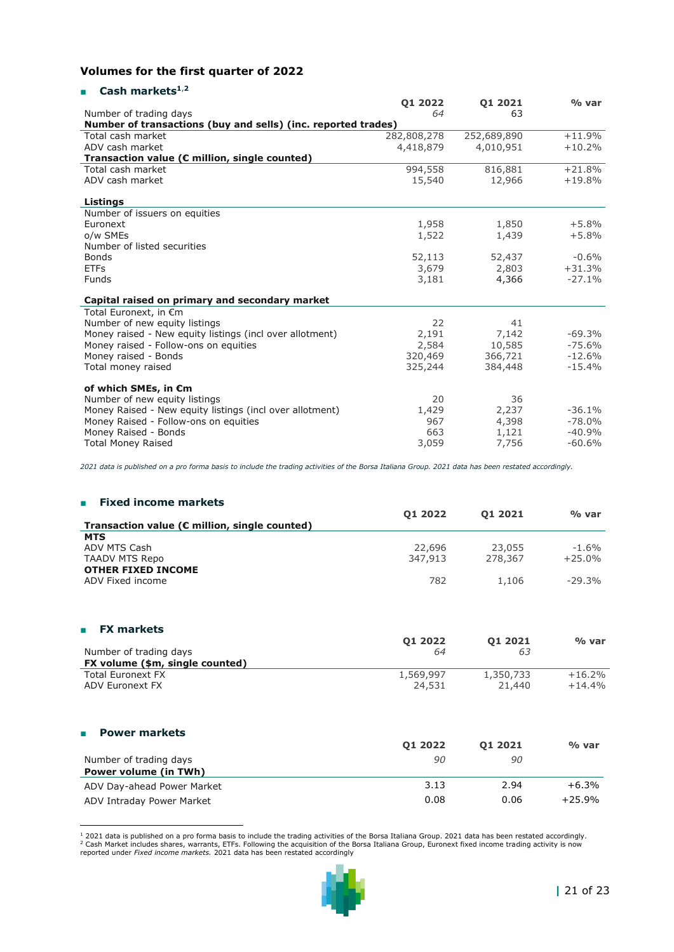## **Volumes for the first quarter of 2022**

### ■ **Cash markets<sup>1</sup>**,**<sup>2</sup>**

|                                                               | 01 2022     | 01 2021     | % var    |
|---------------------------------------------------------------|-------------|-------------|----------|
| Number of trading days                                        | 64          | 63          |          |
| Number of transactions (buy and sells) (inc. reported trades) |             |             |          |
| Total cash market                                             | 282,808,278 | 252,689,890 | $+11.9%$ |
| ADV cash market                                               | 4,418,879   | 4,010,951   | $+10.2%$ |
| Transaction value (€ million, single counted)                 |             |             |          |
| Total cash market                                             | 994,558     | 816,881     | $+21.8%$ |
| ADV cash market                                               | 15,540      | 12,966      | $+19.8%$ |
| Listings                                                      |             |             |          |
| Number of issuers on equities                                 |             |             |          |
| Euronext                                                      | 1,958       | 1,850       | $+5.8%$  |
| o/w SMEs                                                      | 1,522       | 1,439       | $+5.8%$  |
| Number of listed securities                                   |             |             |          |
| <b>Bonds</b>                                                  | 52,113      | 52,437      | $-0.6%$  |
| <b>ETFs</b>                                                   | 3,679       | 2,803       | $+31.3%$ |
| <b>Funds</b>                                                  | 3,181       | 4,366       | $-27.1%$ |
| Capital raised on primary and secondary market                |             |             |          |
| Total Euronext, in €m                                         |             |             |          |
| Number of new equity listings                                 | 22          | 41          |          |
| Money raised - New equity listings (incl over allotment)      | 2,191       | 7,142       | $-69.3%$ |
| Money raised - Follow-ons on equities                         | 2,584       | 10,585      | $-75.6%$ |
| Money raised - Bonds                                          | 320,469     | 366,721     | $-12.6%$ |
| Total money raised                                            | 325,244     | 384,448     | $-15.4%$ |
| of which SMEs, in €m                                          |             |             |          |
| Number of new equity listings                                 | 20          | 36          |          |
| Money Raised - New equity listings (incl over allotment)      | 1,429       | 2,237       | $-36.1%$ |
| Money Raised - Follow-ons on equities                         | 967         | 4,398       | $-78.0%$ |
| Money Raised - Bonds                                          | 663         | 1,121       | $-40.9%$ |
| <b>Total Money Raised</b>                                     | 3,059       | 7,756       | $-60.6%$ |

*2021 data is published on a pro forma basis to include the trading activities of the Borsa Italiana Group. 2021 data has been restated accordingly.*

| <b>Fixed income markets</b><br><b>COL</b>     |           |           |          |
|-----------------------------------------------|-----------|-----------|----------|
|                                               | 01 2022   | 01 2021   | % var    |
| Transaction value (€ million, single counted) |           |           |          |
| <b>MTS</b>                                    |           |           |          |
| ADV MTS Cash                                  | 22,696    | 23,055    | $-1.6%$  |
| <b>TAADV MTS Repo</b>                         | 347,913   | 278,367   | $+25.0%$ |
| <b>OTHER FIXED INCOME</b>                     |           |           |          |
| ADV Fixed income                              | 782       | 1,106     | $-29.3%$ |
| <b>FX markets</b><br>п                        |           |           |          |
|                                               | 01 2022   | 01 2021   | % var    |
| Number of trading days                        | 64        | 63        |          |
| FX volume (\$m, single counted)               |           |           |          |
| <b>Total Euronext FX</b>                      | 1,569,997 | 1,350,733 | $+16.2%$ |
| ADV Euronext FX                               | 24,531    | 21,440    | $+14.4%$ |
|                                               |           |           |          |
|                                               |           |           |          |
|                                               |           |           |          |

| <b>Power markets</b><br>$\blacksquare$ |         |         |          |
|----------------------------------------|---------|---------|----------|
|                                        | 01 2022 | 01 2021 | % var    |
| Number of trading days                 | 90      | 90      |          |
| Power volume (in TWh)                  |         |         |          |
| ADV Day-ahead Power Market             | 3.13    | 2.94    | $+6.3%$  |
| ADV Intraday Power Market              | 0.08    | 0.06    | $+25.9%$ |

<sup>1</sup> 2021 data is published on a pro forma basis to include the trading activities of the Borsa Italiana Group. 2021 data has been restated accordingly.<br><sup>2</sup> Cash Market includes shares, warrants, ETFs. Following the acquisi

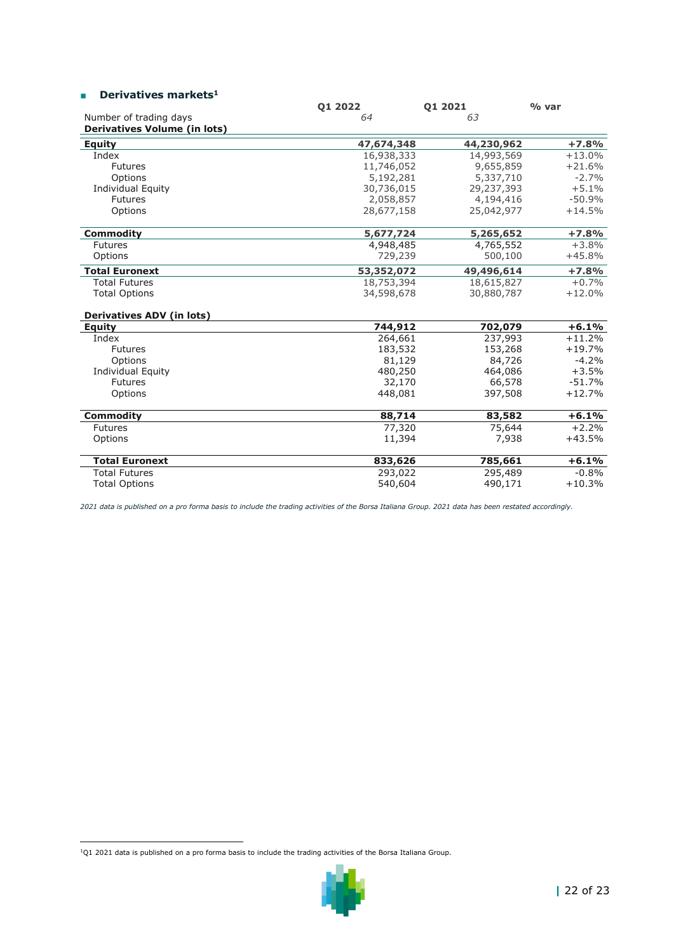## ■ **Derivatives markets<sup>1</sup>**

| Number of trading days<br>64<br>63<br><b>Derivatives Volume (in lots)</b><br>$+7.8%$<br><b>Equity</b><br>47,674,348<br>44,230,962<br>Index<br>16,938,333<br>14,993,569<br>$+13.0%$<br>9,655,859<br>$+21.6%$<br><b>Futures</b><br>11,746,052<br>Options<br>5,337,710<br>$-2.7%$<br>5,192,281<br>30,736,015<br>29,237,393<br>$+5.1%$<br><b>Individual Equity</b><br>Futures<br>2,058,857<br>4,194,416<br>$-50.9%$<br>$+14.5%$<br>Options<br>28,677,158<br>25,042,977<br>$+7.8%$<br><b>Commodity</b><br>5,677,724<br>5,265,652<br>4,948,485<br>4,765,552<br>$+3.8%$<br><b>Futures</b><br>500,100<br>Options<br>729,239<br>$+45.8%$<br><b>Total Euronext</b><br>53,352,072<br>49,496,614<br>$+7.8%$<br><b>Total Futures</b><br>18,753,394<br>18,615,827<br>$+0.7%$<br><b>Total Options</b><br>34,598,678<br>30,880,787<br>$+12.0%$<br><b>Derivatives ADV (in lots)</b><br>$+6.1%$<br>Equity<br>744,912<br>702,079<br>264,661<br>237,993<br>$+11.2%$<br>Index<br>183,532<br>153,268<br>$+19.7%$<br><b>Futures</b><br>$-4.2%$<br>Options<br>81,129<br>84,726<br>480,250<br>$+3.5%$<br><b>Individual Equity</b><br>464,086<br>$-51.7%$<br><b>Futures</b><br>32,170<br>66,578<br>448,081<br>$+12.7%$<br>Options<br>397,508<br>$+6.1%$<br><b>Commodity</b><br>88,714<br>83,582<br>$+2.2%$<br>77,320<br>75,644<br><b>Futures</b><br>7,938<br>$+43.5%$<br>Options<br>11,394 | <b>01 2022</b> | 01 2021 | % var |
|------------------------------------------------------------------------------------------------------------------------------------------------------------------------------------------------------------------------------------------------------------------------------------------------------------------------------------------------------------------------------------------------------------------------------------------------------------------------------------------------------------------------------------------------------------------------------------------------------------------------------------------------------------------------------------------------------------------------------------------------------------------------------------------------------------------------------------------------------------------------------------------------------------------------------------------------------------------------------------------------------------------------------------------------------------------------------------------------------------------------------------------------------------------------------------------------------------------------------------------------------------------------------------------------------------------------------------------------------------------|----------------|---------|-------|
|                                                                                                                                                                                                                                                                                                                                                                                                                                                                                                                                                                                                                                                                                                                                                                                                                                                                                                                                                                                                                                                                                                                                                                                                                                                                                                                                                                  |                |         |       |
|                                                                                                                                                                                                                                                                                                                                                                                                                                                                                                                                                                                                                                                                                                                                                                                                                                                                                                                                                                                                                                                                                                                                                                                                                                                                                                                                                                  |                |         |       |
|                                                                                                                                                                                                                                                                                                                                                                                                                                                                                                                                                                                                                                                                                                                                                                                                                                                                                                                                                                                                                                                                                                                                                                                                                                                                                                                                                                  |                |         |       |
|                                                                                                                                                                                                                                                                                                                                                                                                                                                                                                                                                                                                                                                                                                                                                                                                                                                                                                                                                                                                                                                                                                                                                                                                                                                                                                                                                                  |                |         |       |
|                                                                                                                                                                                                                                                                                                                                                                                                                                                                                                                                                                                                                                                                                                                                                                                                                                                                                                                                                                                                                                                                                                                                                                                                                                                                                                                                                                  |                |         |       |
|                                                                                                                                                                                                                                                                                                                                                                                                                                                                                                                                                                                                                                                                                                                                                                                                                                                                                                                                                                                                                                                                                                                                                                                                                                                                                                                                                                  |                |         |       |
|                                                                                                                                                                                                                                                                                                                                                                                                                                                                                                                                                                                                                                                                                                                                                                                                                                                                                                                                                                                                                                                                                                                                                                                                                                                                                                                                                                  |                |         |       |
|                                                                                                                                                                                                                                                                                                                                                                                                                                                                                                                                                                                                                                                                                                                                                                                                                                                                                                                                                                                                                                                                                                                                                                                                                                                                                                                                                                  |                |         |       |
|                                                                                                                                                                                                                                                                                                                                                                                                                                                                                                                                                                                                                                                                                                                                                                                                                                                                                                                                                                                                                                                                                                                                                                                                                                                                                                                                                                  |                |         |       |
|                                                                                                                                                                                                                                                                                                                                                                                                                                                                                                                                                                                                                                                                                                                                                                                                                                                                                                                                                                                                                                                                                                                                                                                                                                                                                                                                                                  |                |         |       |
|                                                                                                                                                                                                                                                                                                                                                                                                                                                                                                                                                                                                                                                                                                                                                                                                                                                                                                                                                                                                                                                                                                                                                                                                                                                                                                                                                                  |                |         |       |
|                                                                                                                                                                                                                                                                                                                                                                                                                                                                                                                                                                                                                                                                                                                                                                                                                                                                                                                                                                                                                                                                                                                                                                                                                                                                                                                                                                  |                |         |       |
|                                                                                                                                                                                                                                                                                                                                                                                                                                                                                                                                                                                                                                                                                                                                                                                                                                                                                                                                                                                                                                                                                                                                                                                                                                                                                                                                                                  |                |         |       |
|                                                                                                                                                                                                                                                                                                                                                                                                                                                                                                                                                                                                                                                                                                                                                                                                                                                                                                                                                                                                                                                                                                                                                                                                                                                                                                                                                                  |                |         |       |
|                                                                                                                                                                                                                                                                                                                                                                                                                                                                                                                                                                                                                                                                                                                                                                                                                                                                                                                                                                                                                                                                                                                                                                                                                                                                                                                                                                  |                |         |       |
|                                                                                                                                                                                                                                                                                                                                                                                                                                                                                                                                                                                                                                                                                                                                                                                                                                                                                                                                                                                                                                                                                                                                                                                                                                                                                                                                                                  |                |         |       |
|                                                                                                                                                                                                                                                                                                                                                                                                                                                                                                                                                                                                                                                                                                                                                                                                                                                                                                                                                                                                                                                                                                                                                                                                                                                                                                                                                                  |                |         |       |
|                                                                                                                                                                                                                                                                                                                                                                                                                                                                                                                                                                                                                                                                                                                                                                                                                                                                                                                                                                                                                                                                                                                                                                                                                                                                                                                                                                  |                |         |       |
|                                                                                                                                                                                                                                                                                                                                                                                                                                                                                                                                                                                                                                                                                                                                                                                                                                                                                                                                                                                                                                                                                                                                                                                                                                                                                                                                                                  |                |         |       |
|                                                                                                                                                                                                                                                                                                                                                                                                                                                                                                                                                                                                                                                                                                                                                                                                                                                                                                                                                                                                                                                                                                                                                                                                                                                                                                                                                                  |                |         |       |
|                                                                                                                                                                                                                                                                                                                                                                                                                                                                                                                                                                                                                                                                                                                                                                                                                                                                                                                                                                                                                                                                                                                                                                                                                                                                                                                                                                  |                |         |       |
|                                                                                                                                                                                                                                                                                                                                                                                                                                                                                                                                                                                                                                                                                                                                                                                                                                                                                                                                                                                                                                                                                                                                                                                                                                                                                                                                                                  |                |         |       |
|                                                                                                                                                                                                                                                                                                                                                                                                                                                                                                                                                                                                                                                                                                                                                                                                                                                                                                                                                                                                                                                                                                                                                                                                                                                                                                                                                                  |                |         |       |
|                                                                                                                                                                                                                                                                                                                                                                                                                                                                                                                                                                                                                                                                                                                                                                                                                                                                                                                                                                                                                                                                                                                                                                                                                                                                                                                                                                  |                |         |       |
|                                                                                                                                                                                                                                                                                                                                                                                                                                                                                                                                                                                                                                                                                                                                                                                                                                                                                                                                                                                                                                                                                                                                                                                                                                                                                                                                                                  |                |         |       |
|                                                                                                                                                                                                                                                                                                                                                                                                                                                                                                                                                                                                                                                                                                                                                                                                                                                                                                                                                                                                                                                                                                                                                                                                                                                                                                                                                                  |                |         |       |
| $+6.1%$<br><b>Total Euronext</b><br>833,626<br>785,661                                                                                                                                                                                                                                                                                                                                                                                                                                                                                                                                                                                                                                                                                                                                                                                                                                                                                                                                                                                                                                                                                                                                                                                                                                                                                                           |                |         |       |
| $-0.8%$<br><b>Total Futures</b><br>293,022<br>295,489                                                                                                                                                                                                                                                                                                                                                                                                                                                                                                                                                                                                                                                                                                                                                                                                                                                                                                                                                                                                                                                                                                                                                                                                                                                                                                            |                |         |       |
| $+10.3%$<br><b>Total Options</b><br>540,604<br>490,171                                                                                                                                                                                                                                                                                                                                                                                                                                                                                                                                                                                                                                                                                                                                                                                                                                                                                                                                                                                                                                                                                                                                                                                                                                                                                                           |                |         |       |

*2021 data is published on a pro forma basis to include the trading activities of the Borsa Italiana Group. 2021 data has been restated accordingly.*

 $1$ Q1 2021 data is published on a pro forma basis to include the trading activities of the Borsa Italiana Group.